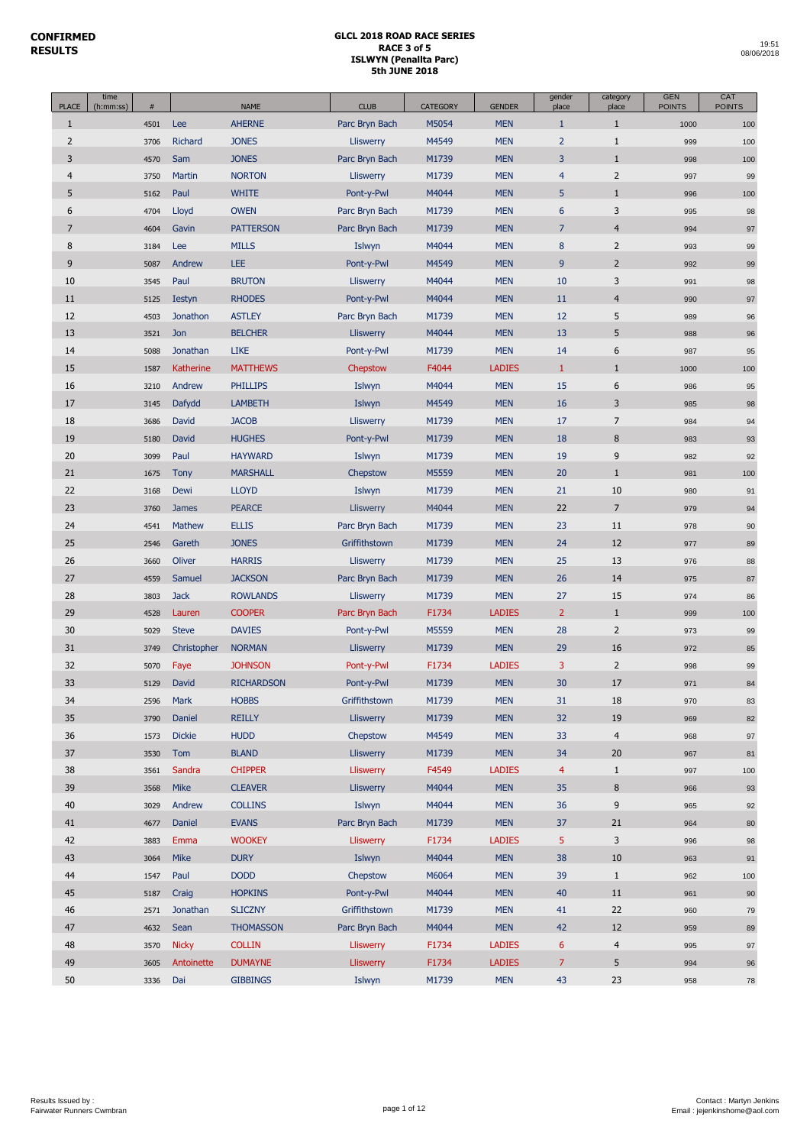I

| <b>PLACE</b>   | time<br>(h:mm:ss) | #    |               | <b>NAME</b>       | <b>CLUB</b>      | <b>CATEGORY</b> | <b>GENDER</b> | gender<br>place | category<br>place       | <b>GEN</b><br><b>POINTS</b> | CAT<br><b>POINTS</b> |
|----------------|-------------------|------|---------------|-------------------|------------------|-----------------|---------------|-----------------|-------------------------|-----------------------------|----------------------|
| $\mathbf{1}$   |                   | 4501 | Lee           | <b>AHERNE</b>     | Parc Bryn Bach   | M5054           | <b>MEN</b>    | $\mathbf{1}$    | $\mathbf{1}$            | 1000                        | 100                  |
| $\overline{2}$ |                   | 3706 | Richard       | <b>JONES</b>      | Lliswerry        | M4549           | <b>MEN</b>    | $\overline{2}$  | $\mathbf{1}$            | 999                         | 100                  |
| 3              |                   | 4570 | Sam           | <b>JONES</b>      | Parc Bryn Bach   | M1739           | <b>MEN</b>    | 3               | $\mathbf{1}$            | 998                         | 100                  |
| $\overline{4}$ |                   | 3750 | Martin        | <b>NORTON</b>     | <b>Lliswerry</b> | M1739           | <b>MEN</b>    | $\overline{4}$  | $\mathsf{2}$            | 997                         | 99                   |
| 5              |                   | 5162 | Paul          | <b>WHITE</b>      | Pont-y-Pwl       | M4044           | <b>MEN</b>    | 5               | $1\,$                   | 996                         | 100                  |
| 6              |                   | 4704 | Lloyd         | <b>OWEN</b>       | Parc Bryn Bach   | M1739           | <b>MEN</b>    | 6               | 3                       | 995                         | 98                   |
| $\overline{7}$ |                   | 4604 | Gavin         | <b>PATTERSON</b>  | Parc Bryn Bach   | M1739           | <b>MEN</b>    | $\overline{7}$  | $\overline{4}$          | 994                         | 97                   |
| 8              |                   | 3184 | Lee           | <b>MILLS</b>      | Islwyn           | M4044           | <b>MEN</b>    | 8               | $\overline{2}$          | 993                         | 99                   |
| 9              |                   | 5087 | Andrew        | <b>LEE</b>        | Pont-y-Pwl       | M4549           | <b>MEN</b>    | 9               | $\overline{2}$          | 992                         | 99                   |
| 10             |                   | 3545 | Paul          | <b>BRUTON</b>     | Lliswerry        | M4044           | <b>MEN</b>    | 10              | 3                       | 991                         | 98                   |
| 11             |                   | 5125 | <b>Iestyn</b> | <b>RHODES</b>     | Pont-y-Pwl       | M4044           | <b>MEN</b>    | 11              | $\overline{4}$          | 990                         | 97                   |
| 12             |                   | 4503 | Jonathon      | <b>ASTLEY</b>     | Parc Bryn Bach   | M1739           | <b>MEN</b>    | 12              | 5                       | 989                         | 96                   |
| 13             |                   | 3521 | Jon           | <b>BELCHER</b>    | Lliswerry        | M4044           | <b>MEN</b>    | 13              | 5                       | 988                         | 96                   |
| 14             |                   | 5088 | Jonathan      | <b>LIKE</b>       | Pont-y-Pwl       | M1739           | <b>MEN</b>    | 14              | 6                       | 987                         | 95                   |
| 15             |                   | 1587 | Katherine     | <b>MATTHEWS</b>   | Chepstow         | F4044           | <b>LADIES</b> | $\mathbf{1}$    | $\mathbf{1}$            | 1000                        | 100                  |
| 16             |                   | 3210 | Andrew        | <b>PHILLIPS</b>   | Islwyn           | M4044           | <b>MEN</b>    | 15              | 6                       | 986                         | 95                   |
| 17             |                   | 3145 | Dafydd        | <b>LAMBETH</b>    | Islwyn           | M4549           | <b>MEN</b>    | 16              | 3                       | 985                         | 98                   |
| 18             |                   | 3686 | David         | <b>JACOB</b>      | <b>Lliswerry</b> | M1739           | <b>MEN</b>    | 17              | $\overline{7}$          | 984                         | 94                   |
| 19             |                   | 5180 | David         | <b>HUGHES</b>     | Pont-y-Pwl       | M1739           | <b>MEN</b>    | 18              | $\bf 8$                 | 983                         | 93                   |
| 20             |                   | 3099 | Paul          | <b>HAYWARD</b>    | Islwyn           | M1739           | <b>MEN</b>    | 19              | $9$                     | 982                         | 92                   |
| 21             |                   | 1675 | <b>Tony</b>   | <b>MARSHALL</b>   | Chepstow         | M5559           | <b>MEN</b>    | 20              | $\mathbf{1}$            | 981                         | 100                  |
| 22             |                   | 3168 | Dewi          | <b>LLOYD</b>      | Islwyn           | M1739           | <b>MEN</b>    | 21              | 10                      | 980                         | 91                   |
| 23             |                   | 3760 | <b>James</b>  | <b>PEARCE</b>     | Lliswerry        | M4044           | <b>MEN</b>    | 22              | $\overline{7}$          | 979                         | 94                   |
| 24             |                   | 4541 | Mathew        | <b>ELLIS</b>      | Parc Bryn Bach   | M1739           | <b>MEN</b>    | 23              | 11                      | 978                         | 90                   |
| 25             |                   | 2546 | Gareth        | <b>JONES</b>      | Griffithstown    | M1739           | <b>MEN</b>    | 24              | 12                      | 977                         | 89                   |
| 26             |                   | 3660 | Oliver        | <b>HARRIS</b>     | Lliswerry        | M1739           | <b>MEN</b>    | 25              | 13                      | 976                         | 88                   |
| 27             |                   | 4559 | Samuel        | <b>JACKSON</b>    | Parc Bryn Bach   | M1739           | <b>MEN</b>    | 26              | 14                      | 975                         | 87                   |
| 28             |                   | 3803 | <b>Jack</b>   | <b>ROWLANDS</b>   | Lliswerry        | M1739           | <b>MEN</b>    | 27              | 15                      | 974                         | 86                   |
| 29             |                   | 4528 | Lauren        | <b>COOPER</b>     | Parc Bryn Bach   | F1734           | <b>LADIES</b> | $\overline{2}$  | $1\,$                   | 999                         | 100                  |
| 30             |                   | 5029 | <b>Steve</b>  | <b>DAVIES</b>     | Pont-y-Pwl       | M5559           | <b>MEN</b>    | 28              | $\overline{2}$          | 973                         | 99                   |
| 31             |                   | 3749 | Christopher   | <b>NORMAN</b>     | Lliswerry        | M1739           | <b>MEN</b>    | 29              | 16                      | 972                         | 85                   |
| 32             |                   | 5070 | Faye          | <b>JOHNSON</b>    | Pont-y-Pwl       | F1734           | <b>LADIES</b> | 3               | $\overline{2}$          | 998                         | 99                   |
| 33             |                   | 5129 | David         | <b>RICHARDSON</b> | Pont-y-Pwl       | M1739           | <b>MEN</b>    | 30              | 17                      | 971                         | 84                   |
| 34             |                   | 2596 | Mark          | <b>HOBBS</b>      | Griffithstown    | M1739           | <b>MEN</b>    | 31              | 18                      | 970                         | 83                   |
| 35             |                   | 3790 | Daniel        | <b>REILLY</b>     | <b>Lliswerry</b> | M1739           | <b>MEN</b>    | 32              | 19                      | 969                         | 82                   |
| 36             |                   | 1573 | <b>Dickie</b> | <b>HUDD</b>       | Chepstow         | M4549           | <b>MEN</b>    | 33              | $\overline{4}$          | 968                         | $97\,$               |
| 37             |                   | 3530 | Tom           | <b>BLAND</b>      | <b>Lliswerry</b> | M1739           | <b>MEN</b>    | 34              | 20                      | 967                         | 81                   |
| 38             |                   | 3561 | Sandra        | <b>CHIPPER</b>    | Lliswerry        | F4549           | <b>LADIES</b> | 4               | $\mathbf{1}$            | 997                         | 100                  |
| 39             |                   | 3568 | <b>Mike</b>   | <b>CLEAVER</b>    | Lliswerry        | M4044           | <b>MEN</b>    | 35              | $\bf 8$                 | 966                         | 93                   |
| 40             |                   | 3029 | Andrew        | <b>COLLINS</b>    | Islwyn           | M4044           | <b>MEN</b>    | 36              | 9                       | 965                         | 92                   |
| 41             |                   | 4677 | Daniel        | <b>EVANS</b>      | Parc Bryn Bach   | M1739           | <b>MEN</b>    | 37              | 21                      | 964                         | 80                   |
| 42             |                   | 3883 | Emma          | <b>WOOKEY</b>     | <b>Lliswerry</b> | F1734           | <b>LADIES</b> | 5               | $\overline{\mathbf{3}}$ | 996                         | 98                   |
| 43             |                   | 3064 | <b>Mike</b>   | <b>DURY</b>       | Islwyn           | M4044           | <b>MEN</b>    | 38              | 10                      | 963                         | 91                   |
| 44             |                   | 1547 | Paul          | <b>DODD</b>       | Chepstow         | M6064           | <b>MEN</b>    | 39              | $\mathbf{1}$            | 962                         | 100                  |
| 45             |                   | 5187 | Craig         | <b>HOPKINS</b>    | Pont-y-Pwl       | M4044           | <b>MEN</b>    | 40              | $11\,$                  | 961                         | 90                   |
| 46             |                   | 2571 | Jonathan      | <b>SLICZNY</b>    | Griffithstown    | M1739           | <b>MEN</b>    | 41              | 22                      | 960                         | 79                   |
| 47             |                   | 4632 | Sean          | <b>THOMASSON</b>  | Parc Bryn Bach   | M4044           | <b>MEN</b>    | 42              | 12                      | 959                         | 89                   |
| 48             |                   | 3570 | <b>Nicky</b>  | <b>COLLIN</b>     | <b>Lliswerry</b> | F1734           | <b>LADIES</b> | 6               | $\overline{4}$          | 995                         | $97\,$               |
| 49             |                   | 3605 | Antoinette    | <b>DUMAYNE</b>    | <b>Lliswerry</b> | F1734           | <b>LADIES</b> | $\overline{7}$  | 5                       | 994                         | 96                   |
| 50             |                   | 3336 | Dai           | <b>GIBBINGS</b>   | Islwyn           | M1739           | <b>MEN</b>    | 43              | 23                      | 958                         | ${\bf 78}$           |
|                |                   |      |               |                   |                  |                 |               |                 |                         |                             |                      |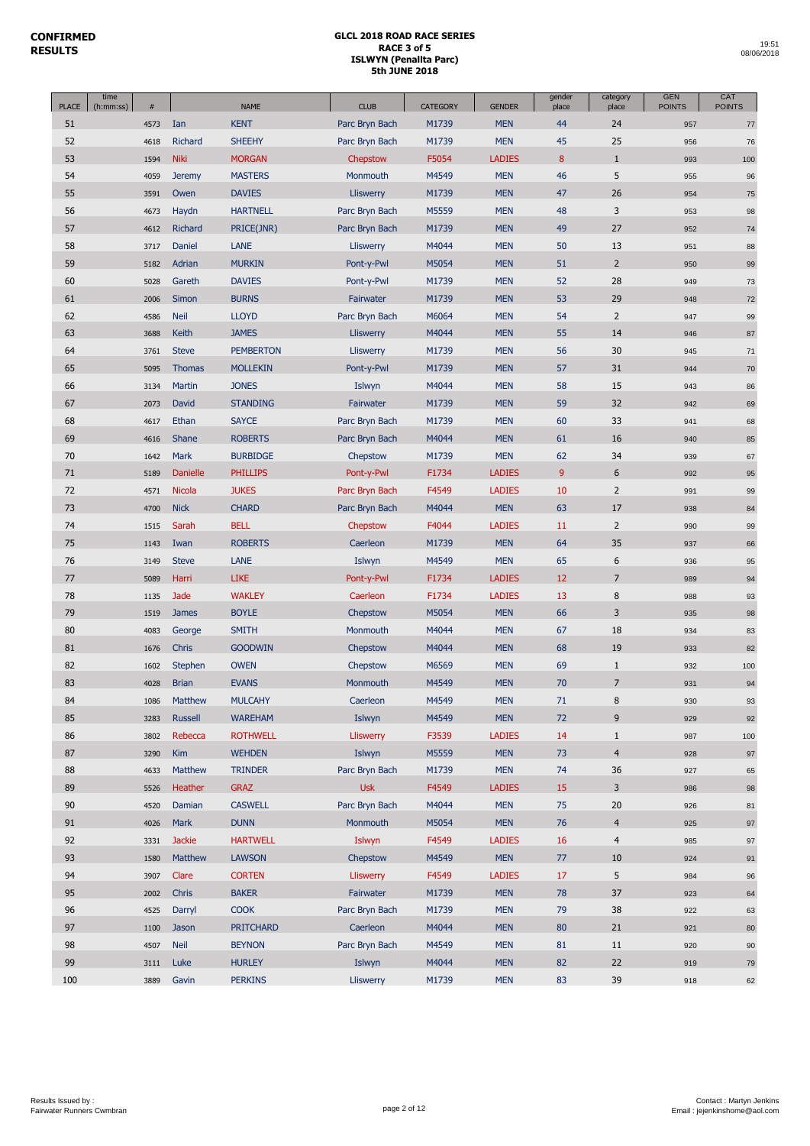ſ

| <b>KENT</b><br>Parc Bryn Bach<br>M1739<br><b>MEN</b><br>44<br>24<br>51<br>Ian<br>4573<br>957<br>$77 \,$<br>45<br>25<br>52<br>Richard<br><b>SHEEHY</b><br>Parc Bryn Bach<br>M1739<br><b>MEN</b><br>4618<br>956<br>76<br>53<br><b>Niki</b><br>F5054<br><b>LADIES</b><br>8<br>$\mathbf{1}$<br><b>MORGAN</b><br>Chepstow<br>1594<br>993<br>100<br>54<br>M4549<br><b>MEN</b><br>46<br>5<br>4059<br><b>MASTERS</b><br>Monmouth<br>955<br><b>Jeremy</b><br>96<br>26<br>55<br><b>DAVIES</b><br>M1739<br><b>MEN</b><br>47<br>Lliswerry<br>3591<br>Owen<br>954<br>75<br>3<br><b>HARTNELL</b><br>M5559<br><b>MEN</b><br>48<br>56<br>Parc Bryn Bach<br>4673<br>Haydn<br>953<br>98<br><b>MEN</b><br>49<br>27<br>57<br>Richard<br>PRICE(JNR)<br>Parc Bryn Bach<br>M1739<br>4612<br>952<br>74<br>58<br>M4044<br>50<br>13<br>Daniel<br>LANE<br>Lliswerry<br><b>MEN</b><br>3717<br>951<br>88<br>$\overline{2}$<br>59<br>5182<br>Adrian<br><b>MURKIN</b><br>Pont-y-Pwl<br>M5054<br><b>MEN</b><br>51<br>950<br>99<br>60<br>M1739<br><b>MEN</b><br>52<br>28<br>Gareth<br><b>DAVIES</b><br>Pont-y-Pwl<br>5028<br>949<br>73<br><b>BURNS</b><br>M1739<br><b>MEN</b><br>53<br>29<br>61<br>2006<br>Simon<br>Fairwater<br>948<br>72<br>$\mathbf 2$<br><b>LLOYD</b><br>M6064<br><b>MEN</b><br>54<br>62<br><b>Neil</b><br>Parc Bryn Bach<br>4586<br>947<br>99<br>M4044<br><b>MEN</b><br>55<br>14<br>63<br>3688<br><b>Keith</b><br><b>JAMES</b><br>Lliswerry<br>946<br>87<br><b>MEN</b><br>56<br>30<br>64<br><b>Steve</b><br><b>PEMBERTON</b><br>Lliswerry<br>M1739<br>3761<br>945<br>71<br>65<br><b>MEN</b><br>57<br>31<br><b>MOLLEKIN</b><br>Pont-y-Pwl<br>M1739<br>5095<br><b>Thomas</b><br>944<br>70<br>66<br>Martin<br><b>JONES</b><br>Islwyn<br>M4044<br><b>MEN</b><br>58<br>15<br>3134<br>943<br>86<br>67<br><b>STANDING</b><br>M1739<br><b>MEN</b><br>59<br>32<br>David<br>Fairwater<br>2073<br>942<br>69<br>60<br>33<br>68<br>Ethan<br><b>SAYCE</b><br>Parc Bryn Bach<br>M1739<br><b>MEN</b><br>4617<br>941<br>68<br>69<br><b>ROBERTS</b><br>M4044<br><b>MEN</b><br>61<br>16<br><b>Shane</b><br>Parc Bryn Bach<br>4616<br>940<br>85<br><b>MEN</b><br>62<br>34<br>70<br>1642<br><b>Mark</b><br><b>BURBIDGE</b><br>Chepstow<br>M1739<br>939<br>67<br>9<br>6<br>71<br><b>LADIES</b><br><b>Danielle</b><br><b>PHILLIPS</b><br>Pont-y-Pwl<br>F1734<br>5189<br>992<br>95<br>72<br><b>JUKES</b><br>F4549<br><b>LADIES</b><br>10<br>$\overline{2}$<br><b>Nicola</b><br>Parc Bryn Bach<br>4571<br>991<br>99<br>73<br><b>MEN</b><br>63<br>17<br>4700<br><b>Nick</b><br><b>CHARD</b><br>Parc Bryn Bach<br>M4044<br>938<br>84<br>74<br><b>BELL</b><br>F4044<br><b>LADIES</b><br>$\overline{2}$<br>Sarah<br>11<br>1515<br>Chepstow<br>990<br>99<br>75<br><b>ROBERTS</b><br><b>MEN</b><br>64<br>35<br>1143<br>Iwan<br>Caerleon<br>M1739<br>937<br>66<br>6<br>76<br>LANE<br>M4549<br><b>MEN</b><br>65<br><b>Steve</b><br>Islwyn<br>3149<br>936<br>95<br>77<br><b>LIKE</b><br>F1734<br><b>LADIES</b><br>12<br>$\overline{7}$<br>5089<br>Harri<br>Pont-y-Pwl<br>989<br>94<br>$\,8\,$<br>78<br><b>WAKLEY</b><br><b>Jade</b><br>Caerleon<br>F1734<br><b>LADIES</b><br>13<br>1135<br>988<br>93<br>79<br><b>MEN</b><br>66<br>3<br><b>BOYLE</b><br>Chepstow<br>M5054<br>1519<br><b>James</b><br>935<br>98<br>80<br><b>SMITH</b><br>Monmouth<br>M4044<br><b>MEN</b><br>67<br>18<br>4083<br>George<br>934<br>83<br>19<br>81<br><b>GOODWIN</b><br>M4044<br><b>MEN</b><br>68<br>Chris<br>1676<br>Chepstow<br>933<br>82<br>82<br><b>OWEN</b><br>Chepstow<br>M6569<br><b>MEN</b><br>69<br>$\mathbf{1}$<br>1602<br>Stephen<br>932<br>100<br>83<br><b>EVANS</b><br>M4549<br><b>MEN</b><br>70<br>$\overline{7}$<br><b>Brian</b><br>Monmouth<br>4028<br>931<br>94<br>M4549<br>84<br><b>MULCAHY</b><br>Caerleon<br><b>MEN</b><br>8<br><b>Matthew</b><br>71<br>1086<br>930<br>93<br><b>MEN</b><br>72<br>9<br>85<br><b>WAREHAM</b><br>Islwyn<br>M4549<br>3283<br><b>Russell</b><br>929<br>92<br>86<br>Lliswerry<br>F3539<br><b>LADIES</b><br>14<br>$\mathbf{1}$<br>Rebecca<br><b>ROTHWELL</b><br>3802<br>987<br>100<br>87<br>$\overline{4}$<br><b>Kim</b><br><b>WEHDEN</b><br>Islwyn<br>M5559<br><b>MEN</b><br>73<br>3290<br>928<br>$97\,$<br>88<br>Matthew<br>Parc Bryn Bach<br>M1739<br><b>MEN</b><br><b>TRINDER</b><br>74<br>36<br>4633<br>927<br>65<br>Heather<br><b>Usk</b><br>F4549<br><b>LADIES</b><br>3<br>89<br><b>GRAZ</b><br>15<br>5526<br>986<br>98<br>90<br><b>CASWELL</b><br>Parc Bryn Bach<br>M4044<br><b>MEN</b><br>75<br>$20\,$<br>Damian<br>4520<br>926<br>81<br><b>DUNN</b><br><b>MEN</b><br>91<br>4026<br>Mark<br>Monmouth<br>M5054<br>76<br>$\overline{4}$<br>925<br>97<br><b>HARTWELL</b><br>F4549<br><b>LADIES</b><br>16<br>$\overline{4}$<br>92<br><b>Jackie</b><br>Islwyn<br>3331<br>985<br>97<br>93<br>M4549<br><b>MEN</b><br>77<br>10<br>Matthew<br><b>LAWSON</b><br>Chepstow<br>1580<br>924<br>91<br>94<br>5<br>Clare<br><b>CORTEN</b><br>Lliswerry<br>F4549<br><b>LADIES</b><br>17<br>3907<br>984<br>96<br>95<br>37<br>Chris<br><b>BAKER</b><br>Fairwater<br>M1739<br><b>MEN</b><br>78<br>2002<br>923<br>64<br>96<br><b>COOK</b><br>38<br>4525<br>Darryl<br>Parc Bryn Bach<br>M1739<br><b>MEN</b><br>79<br>922<br>63<br>97<br><b>PRITCHARD</b><br>Caerleon<br>M4044<br><b>MEN</b><br>21<br>80<br>1100<br>Jason<br>921<br>80<br>M4549<br>$11\,$<br>98<br>4507<br><b>Neil</b><br><b>BEYNON</b><br>Parc Bryn Bach<br><b>MEN</b><br>81<br>920<br>90<br>99<br>Luke<br>Islwyn<br>M4044<br><b>MEN</b><br>82<br>22<br>3111<br><b>HURLEY</b><br>919<br>79<br>100<br><b>PERKINS</b><br>Lliswerry<br><b>MEN</b><br>83<br>39<br>3889<br>Gavin<br>M1739<br>918<br>62 | <b>PLACE</b> | time<br>(h:mm:ss) | $\#$ | <b>NAME</b> | <b>CLUB</b> | CATEGORY | <b>GENDER</b> | gender<br>place | category<br>place | <b>GEN</b><br><b>POINTS</b> | CAT<br><b>POINTS</b> |
|-------------------------------------------------------------------------------------------------------------------------------------------------------------------------------------------------------------------------------------------------------------------------------------------------------------------------------------------------------------------------------------------------------------------------------------------------------------------------------------------------------------------------------------------------------------------------------------------------------------------------------------------------------------------------------------------------------------------------------------------------------------------------------------------------------------------------------------------------------------------------------------------------------------------------------------------------------------------------------------------------------------------------------------------------------------------------------------------------------------------------------------------------------------------------------------------------------------------------------------------------------------------------------------------------------------------------------------------------------------------------------------------------------------------------------------------------------------------------------------------------------------------------------------------------------------------------------------------------------------------------------------------------------------------------------------------------------------------------------------------------------------------------------------------------------------------------------------------------------------------------------------------------------------------------------------------------------------------------------------------------------------------------------------------------------------------------------------------------------------------------------------------------------------------------------------------------------------------------------------------------------------------------------------------------------------------------------------------------------------------------------------------------------------------------------------------------------------------------------------------------------------------------------------------------------------------------------------------------------------------------------------------------------------------------------------------------------------------------------------------------------------------------------------------------------------------------------------------------------------------------------------------------------------------------------------------------------------------------------------------------------------------------------------------------------------------------------------------------------------------------------------------------------------------------------------------------------------------------------------------------------------------------------------------------------------------------------------------------------------------------------------------------------------------------------------------------------------------------------------------------------------------------------------------------------------------------------------------------------------------------------------------------------------------------------------------------------------------------------------------------------------------------------------------------------------------------------------------------------------------------------------------------------------------------------------------------------------------------------------------------------------------------------------------------------------------------------------------------------------------------------------------------------------------------------------------------------------------------------------------------------------------------------------------------------------------------------------------------------------------------------------------------------------------------------------------------------------------------------------------------------------------------------------------------------------------------------------------------------------------------------------------------------------------------------------------------------------------------------------------------------------------------------------------------------------------------------------------------------------------------------------------------------------------------------------------------------------------------------------------------------------------------------------------------------------------------------------------------------------------------------------------------------------------------------------------------------------------------------------------------------------------------------------------------------------------------------------------------------------------------------------------------------------------------------------------------------------------------------------------------------------------------------------------------------------------------------------------------------------------------------|--------------|-------------------|------|-------------|-------------|----------|---------------|-----------------|-------------------|-----------------------------|----------------------|
|                                                                                                                                                                                                                                                                                                                                                                                                                                                                                                                                                                                                                                                                                                                                                                                                                                                                                                                                                                                                                                                                                                                                                                                                                                                                                                                                                                                                                                                                                                                                                                                                                                                                                                                                                                                                                                                                                                                                                                                                                                                                                                                                                                                                                                                                                                                                                                                                                                                                                                                                                                                                                                                                                                                                                                                                                                                                                                                                                                                                                                                                                                                                                                                                                                                                                                                                                                                                                                                                                                                                                                                                                                                                                                                                                                                                                                                                                                                                                                                                                                                                                                                                                                                                                                                                                                                                                                                                                                                                                                                                                                                                                                                                                                                                                                                                                                                                                                                                                                                                                                                                                                                                                                                                                                                                                                                                                                                                                                                                                                                                                                                                                               |              |                   |      |             |             |          |               |                 |                   |                             |                      |
|                                                                                                                                                                                                                                                                                                                                                                                                                                                                                                                                                                                                                                                                                                                                                                                                                                                                                                                                                                                                                                                                                                                                                                                                                                                                                                                                                                                                                                                                                                                                                                                                                                                                                                                                                                                                                                                                                                                                                                                                                                                                                                                                                                                                                                                                                                                                                                                                                                                                                                                                                                                                                                                                                                                                                                                                                                                                                                                                                                                                                                                                                                                                                                                                                                                                                                                                                                                                                                                                                                                                                                                                                                                                                                                                                                                                                                                                                                                                                                                                                                                                                                                                                                                                                                                                                                                                                                                                                                                                                                                                                                                                                                                                                                                                                                                                                                                                                                                                                                                                                                                                                                                                                                                                                                                                                                                                                                                                                                                                                                                                                                                                                               |              |                   |      |             |             |          |               |                 |                   |                             |                      |
|                                                                                                                                                                                                                                                                                                                                                                                                                                                                                                                                                                                                                                                                                                                                                                                                                                                                                                                                                                                                                                                                                                                                                                                                                                                                                                                                                                                                                                                                                                                                                                                                                                                                                                                                                                                                                                                                                                                                                                                                                                                                                                                                                                                                                                                                                                                                                                                                                                                                                                                                                                                                                                                                                                                                                                                                                                                                                                                                                                                                                                                                                                                                                                                                                                                                                                                                                                                                                                                                                                                                                                                                                                                                                                                                                                                                                                                                                                                                                                                                                                                                                                                                                                                                                                                                                                                                                                                                                                                                                                                                                                                                                                                                                                                                                                                                                                                                                                                                                                                                                                                                                                                                                                                                                                                                                                                                                                                                                                                                                                                                                                                                                               |              |                   |      |             |             |          |               |                 |                   |                             |                      |
|                                                                                                                                                                                                                                                                                                                                                                                                                                                                                                                                                                                                                                                                                                                                                                                                                                                                                                                                                                                                                                                                                                                                                                                                                                                                                                                                                                                                                                                                                                                                                                                                                                                                                                                                                                                                                                                                                                                                                                                                                                                                                                                                                                                                                                                                                                                                                                                                                                                                                                                                                                                                                                                                                                                                                                                                                                                                                                                                                                                                                                                                                                                                                                                                                                                                                                                                                                                                                                                                                                                                                                                                                                                                                                                                                                                                                                                                                                                                                                                                                                                                                                                                                                                                                                                                                                                                                                                                                                                                                                                                                                                                                                                                                                                                                                                                                                                                                                                                                                                                                                                                                                                                                                                                                                                                                                                                                                                                                                                                                                                                                                                                                               |              |                   |      |             |             |          |               |                 |                   |                             |                      |
|                                                                                                                                                                                                                                                                                                                                                                                                                                                                                                                                                                                                                                                                                                                                                                                                                                                                                                                                                                                                                                                                                                                                                                                                                                                                                                                                                                                                                                                                                                                                                                                                                                                                                                                                                                                                                                                                                                                                                                                                                                                                                                                                                                                                                                                                                                                                                                                                                                                                                                                                                                                                                                                                                                                                                                                                                                                                                                                                                                                                                                                                                                                                                                                                                                                                                                                                                                                                                                                                                                                                                                                                                                                                                                                                                                                                                                                                                                                                                                                                                                                                                                                                                                                                                                                                                                                                                                                                                                                                                                                                                                                                                                                                                                                                                                                                                                                                                                                                                                                                                                                                                                                                                                                                                                                                                                                                                                                                                                                                                                                                                                                                                               |              |                   |      |             |             |          |               |                 |                   |                             |                      |
|                                                                                                                                                                                                                                                                                                                                                                                                                                                                                                                                                                                                                                                                                                                                                                                                                                                                                                                                                                                                                                                                                                                                                                                                                                                                                                                                                                                                                                                                                                                                                                                                                                                                                                                                                                                                                                                                                                                                                                                                                                                                                                                                                                                                                                                                                                                                                                                                                                                                                                                                                                                                                                                                                                                                                                                                                                                                                                                                                                                                                                                                                                                                                                                                                                                                                                                                                                                                                                                                                                                                                                                                                                                                                                                                                                                                                                                                                                                                                                                                                                                                                                                                                                                                                                                                                                                                                                                                                                                                                                                                                                                                                                                                                                                                                                                                                                                                                                                                                                                                                                                                                                                                                                                                                                                                                                                                                                                                                                                                                                                                                                                                                               |              |                   |      |             |             |          |               |                 |                   |                             |                      |
|                                                                                                                                                                                                                                                                                                                                                                                                                                                                                                                                                                                                                                                                                                                                                                                                                                                                                                                                                                                                                                                                                                                                                                                                                                                                                                                                                                                                                                                                                                                                                                                                                                                                                                                                                                                                                                                                                                                                                                                                                                                                                                                                                                                                                                                                                                                                                                                                                                                                                                                                                                                                                                                                                                                                                                                                                                                                                                                                                                                                                                                                                                                                                                                                                                                                                                                                                                                                                                                                                                                                                                                                                                                                                                                                                                                                                                                                                                                                                                                                                                                                                                                                                                                                                                                                                                                                                                                                                                                                                                                                                                                                                                                                                                                                                                                                                                                                                                                                                                                                                                                                                                                                                                                                                                                                                                                                                                                                                                                                                                                                                                                                                               |              |                   |      |             |             |          |               |                 |                   |                             |                      |
|                                                                                                                                                                                                                                                                                                                                                                                                                                                                                                                                                                                                                                                                                                                                                                                                                                                                                                                                                                                                                                                                                                                                                                                                                                                                                                                                                                                                                                                                                                                                                                                                                                                                                                                                                                                                                                                                                                                                                                                                                                                                                                                                                                                                                                                                                                                                                                                                                                                                                                                                                                                                                                                                                                                                                                                                                                                                                                                                                                                                                                                                                                                                                                                                                                                                                                                                                                                                                                                                                                                                                                                                                                                                                                                                                                                                                                                                                                                                                                                                                                                                                                                                                                                                                                                                                                                                                                                                                                                                                                                                                                                                                                                                                                                                                                                                                                                                                                                                                                                                                                                                                                                                                                                                                                                                                                                                                                                                                                                                                                                                                                                                                               |              |                   |      |             |             |          |               |                 |                   |                             |                      |
|                                                                                                                                                                                                                                                                                                                                                                                                                                                                                                                                                                                                                                                                                                                                                                                                                                                                                                                                                                                                                                                                                                                                                                                                                                                                                                                                                                                                                                                                                                                                                                                                                                                                                                                                                                                                                                                                                                                                                                                                                                                                                                                                                                                                                                                                                                                                                                                                                                                                                                                                                                                                                                                                                                                                                                                                                                                                                                                                                                                                                                                                                                                                                                                                                                                                                                                                                                                                                                                                                                                                                                                                                                                                                                                                                                                                                                                                                                                                                                                                                                                                                                                                                                                                                                                                                                                                                                                                                                                                                                                                                                                                                                                                                                                                                                                                                                                                                                                                                                                                                                                                                                                                                                                                                                                                                                                                                                                                                                                                                                                                                                                                                               |              |                   |      |             |             |          |               |                 |                   |                             |                      |
|                                                                                                                                                                                                                                                                                                                                                                                                                                                                                                                                                                                                                                                                                                                                                                                                                                                                                                                                                                                                                                                                                                                                                                                                                                                                                                                                                                                                                                                                                                                                                                                                                                                                                                                                                                                                                                                                                                                                                                                                                                                                                                                                                                                                                                                                                                                                                                                                                                                                                                                                                                                                                                                                                                                                                                                                                                                                                                                                                                                                                                                                                                                                                                                                                                                                                                                                                                                                                                                                                                                                                                                                                                                                                                                                                                                                                                                                                                                                                                                                                                                                                                                                                                                                                                                                                                                                                                                                                                                                                                                                                                                                                                                                                                                                                                                                                                                                                                                                                                                                                                                                                                                                                                                                                                                                                                                                                                                                                                                                                                                                                                                                                               |              |                   |      |             |             |          |               |                 |                   |                             |                      |
|                                                                                                                                                                                                                                                                                                                                                                                                                                                                                                                                                                                                                                                                                                                                                                                                                                                                                                                                                                                                                                                                                                                                                                                                                                                                                                                                                                                                                                                                                                                                                                                                                                                                                                                                                                                                                                                                                                                                                                                                                                                                                                                                                                                                                                                                                                                                                                                                                                                                                                                                                                                                                                                                                                                                                                                                                                                                                                                                                                                                                                                                                                                                                                                                                                                                                                                                                                                                                                                                                                                                                                                                                                                                                                                                                                                                                                                                                                                                                                                                                                                                                                                                                                                                                                                                                                                                                                                                                                                                                                                                                                                                                                                                                                                                                                                                                                                                                                                                                                                                                                                                                                                                                                                                                                                                                                                                                                                                                                                                                                                                                                                                                               |              |                   |      |             |             |          |               |                 |                   |                             |                      |
|                                                                                                                                                                                                                                                                                                                                                                                                                                                                                                                                                                                                                                                                                                                                                                                                                                                                                                                                                                                                                                                                                                                                                                                                                                                                                                                                                                                                                                                                                                                                                                                                                                                                                                                                                                                                                                                                                                                                                                                                                                                                                                                                                                                                                                                                                                                                                                                                                                                                                                                                                                                                                                                                                                                                                                                                                                                                                                                                                                                                                                                                                                                                                                                                                                                                                                                                                                                                                                                                                                                                                                                                                                                                                                                                                                                                                                                                                                                                                                                                                                                                                                                                                                                                                                                                                                                                                                                                                                                                                                                                                                                                                                                                                                                                                                                                                                                                                                                                                                                                                                                                                                                                                                                                                                                                                                                                                                                                                                                                                                                                                                                                                               |              |                   |      |             |             |          |               |                 |                   |                             |                      |
|                                                                                                                                                                                                                                                                                                                                                                                                                                                                                                                                                                                                                                                                                                                                                                                                                                                                                                                                                                                                                                                                                                                                                                                                                                                                                                                                                                                                                                                                                                                                                                                                                                                                                                                                                                                                                                                                                                                                                                                                                                                                                                                                                                                                                                                                                                                                                                                                                                                                                                                                                                                                                                                                                                                                                                                                                                                                                                                                                                                                                                                                                                                                                                                                                                                                                                                                                                                                                                                                                                                                                                                                                                                                                                                                                                                                                                                                                                                                                                                                                                                                                                                                                                                                                                                                                                                                                                                                                                                                                                                                                                                                                                                                                                                                                                                                                                                                                                                                                                                                                                                                                                                                                                                                                                                                                                                                                                                                                                                                                                                                                                                                                               |              |                   |      |             |             |          |               |                 |                   |                             |                      |
|                                                                                                                                                                                                                                                                                                                                                                                                                                                                                                                                                                                                                                                                                                                                                                                                                                                                                                                                                                                                                                                                                                                                                                                                                                                                                                                                                                                                                                                                                                                                                                                                                                                                                                                                                                                                                                                                                                                                                                                                                                                                                                                                                                                                                                                                                                                                                                                                                                                                                                                                                                                                                                                                                                                                                                                                                                                                                                                                                                                                                                                                                                                                                                                                                                                                                                                                                                                                                                                                                                                                                                                                                                                                                                                                                                                                                                                                                                                                                                                                                                                                                                                                                                                                                                                                                                                                                                                                                                                                                                                                                                                                                                                                                                                                                                                                                                                                                                                                                                                                                                                                                                                                                                                                                                                                                                                                                                                                                                                                                                                                                                                                                               |              |                   |      |             |             |          |               |                 |                   |                             |                      |
|                                                                                                                                                                                                                                                                                                                                                                                                                                                                                                                                                                                                                                                                                                                                                                                                                                                                                                                                                                                                                                                                                                                                                                                                                                                                                                                                                                                                                                                                                                                                                                                                                                                                                                                                                                                                                                                                                                                                                                                                                                                                                                                                                                                                                                                                                                                                                                                                                                                                                                                                                                                                                                                                                                                                                                                                                                                                                                                                                                                                                                                                                                                                                                                                                                                                                                                                                                                                                                                                                                                                                                                                                                                                                                                                                                                                                                                                                                                                                                                                                                                                                                                                                                                                                                                                                                                                                                                                                                                                                                                                                                                                                                                                                                                                                                                                                                                                                                                                                                                                                                                                                                                                                                                                                                                                                                                                                                                                                                                                                                                                                                                                                               |              |                   |      |             |             |          |               |                 |                   |                             |                      |
|                                                                                                                                                                                                                                                                                                                                                                                                                                                                                                                                                                                                                                                                                                                                                                                                                                                                                                                                                                                                                                                                                                                                                                                                                                                                                                                                                                                                                                                                                                                                                                                                                                                                                                                                                                                                                                                                                                                                                                                                                                                                                                                                                                                                                                                                                                                                                                                                                                                                                                                                                                                                                                                                                                                                                                                                                                                                                                                                                                                                                                                                                                                                                                                                                                                                                                                                                                                                                                                                                                                                                                                                                                                                                                                                                                                                                                                                                                                                                                                                                                                                                                                                                                                                                                                                                                                                                                                                                                                                                                                                                                                                                                                                                                                                                                                                                                                                                                                                                                                                                                                                                                                                                                                                                                                                                                                                                                                                                                                                                                                                                                                                                               |              |                   |      |             |             |          |               |                 |                   |                             |                      |
|                                                                                                                                                                                                                                                                                                                                                                                                                                                                                                                                                                                                                                                                                                                                                                                                                                                                                                                                                                                                                                                                                                                                                                                                                                                                                                                                                                                                                                                                                                                                                                                                                                                                                                                                                                                                                                                                                                                                                                                                                                                                                                                                                                                                                                                                                                                                                                                                                                                                                                                                                                                                                                                                                                                                                                                                                                                                                                                                                                                                                                                                                                                                                                                                                                                                                                                                                                                                                                                                                                                                                                                                                                                                                                                                                                                                                                                                                                                                                                                                                                                                                                                                                                                                                                                                                                                                                                                                                                                                                                                                                                                                                                                                                                                                                                                                                                                                                                                                                                                                                                                                                                                                                                                                                                                                                                                                                                                                                                                                                                                                                                                                                               |              |                   |      |             |             |          |               |                 |                   |                             |                      |
|                                                                                                                                                                                                                                                                                                                                                                                                                                                                                                                                                                                                                                                                                                                                                                                                                                                                                                                                                                                                                                                                                                                                                                                                                                                                                                                                                                                                                                                                                                                                                                                                                                                                                                                                                                                                                                                                                                                                                                                                                                                                                                                                                                                                                                                                                                                                                                                                                                                                                                                                                                                                                                                                                                                                                                                                                                                                                                                                                                                                                                                                                                                                                                                                                                                                                                                                                                                                                                                                                                                                                                                                                                                                                                                                                                                                                                                                                                                                                                                                                                                                                                                                                                                                                                                                                                                                                                                                                                                                                                                                                                                                                                                                                                                                                                                                                                                                                                                                                                                                                                                                                                                                                                                                                                                                                                                                                                                                                                                                                                                                                                                                                               |              |                   |      |             |             |          |               |                 |                   |                             |                      |
|                                                                                                                                                                                                                                                                                                                                                                                                                                                                                                                                                                                                                                                                                                                                                                                                                                                                                                                                                                                                                                                                                                                                                                                                                                                                                                                                                                                                                                                                                                                                                                                                                                                                                                                                                                                                                                                                                                                                                                                                                                                                                                                                                                                                                                                                                                                                                                                                                                                                                                                                                                                                                                                                                                                                                                                                                                                                                                                                                                                                                                                                                                                                                                                                                                                                                                                                                                                                                                                                                                                                                                                                                                                                                                                                                                                                                                                                                                                                                                                                                                                                                                                                                                                                                                                                                                                                                                                                                                                                                                                                                                                                                                                                                                                                                                                                                                                                                                                                                                                                                                                                                                                                                                                                                                                                                                                                                                                                                                                                                                                                                                                                                               |              |                   |      |             |             |          |               |                 |                   |                             |                      |
|                                                                                                                                                                                                                                                                                                                                                                                                                                                                                                                                                                                                                                                                                                                                                                                                                                                                                                                                                                                                                                                                                                                                                                                                                                                                                                                                                                                                                                                                                                                                                                                                                                                                                                                                                                                                                                                                                                                                                                                                                                                                                                                                                                                                                                                                                                                                                                                                                                                                                                                                                                                                                                                                                                                                                                                                                                                                                                                                                                                                                                                                                                                                                                                                                                                                                                                                                                                                                                                                                                                                                                                                                                                                                                                                                                                                                                                                                                                                                                                                                                                                                                                                                                                                                                                                                                                                                                                                                                                                                                                                                                                                                                                                                                                                                                                                                                                                                                                                                                                                                                                                                                                                                                                                                                                                                                                                                                                                                                                                                                                                                                                                                               |              |                   |      |             |             |          |               |                 |                   |                             |                      |
|                                                                                                                                                                                                                                                                                                                                                                                                                                                                                                                                                                                                                                                                                                                                                                                                                                                                                                                                                                                                                                                                                                                                                                                                                                                                                                                                                                                                                                                                                                                                                                                                                                                                                                                                                                                                                                                                                                                                                                                                                                                                                                                                                                                                                                                                                                                                                                                                                                                                                                                                                                                                                                                                                                                                                                                                                                                                                                                                                                                                                                                                                                                                                                                                                                                                                                                                                                                                                                                                                                                                                                                                                                                                                                                                                                                                                                                                                                                                                                                                                                                                                                                                                                                                                                                                                                                                                                                                                                                                                                                                                                                                                                                                                                                                                                                                                                                                                                                                                                                                                                                                                                                                                                                                                                                                                                                                                                                                                                                                                                                                                                                                                               |              |                   |      |             |             |          |               |                 |                   |                             |                      |
|                                                                                                                                                                                                                                                                                                                                                                                                                                                                                                                                                                                                                                                                                                                                                                                                                                                                                                                                                                                                                                                                                                                                                                                                                                                                                                                                                                                                                                                                                                                                                                                                                                                                                                                                                                                                                                                                                                                                                                                                                                                                                                                                                                                                                                                                                                                                                                                                                                                                                                                                                                                                                                                                                                                                                                                                                                                                                                                                                                                                                                                                                                                                                                                                                                                                                                                                                                                                                                                                                                                                                                                                                                                                                                                                                                                                                                                                                                                                                                                                                                                                                                                                                                                                                                                                                                                                                                                                                                                                                                                                                                                                                                                                                                                                                                                                                                                                                                                                                                                                                                                                                                                                                                                                                                                                                                                                                                                                                                                                                                                                                                                                                               |              |                   |      |             |             |          |               |                 |                   |                             |                      |
|                                                                                                                                                                                                                                                                                                                                                                                                                                                                                                                                                                                                                                                                                                                                                                                                                                                                                                                                                                                                                                                                                                                                                                                                                                                                                                                                                                                                                                                                                                                                                                                                                                                                                                                                                                                                                                                                                                                                                                                                                                                                                                                                                                                                                                                                                                                                                                                                                                                                                                                                                                                                                                                                                                                                                                                                                                                                                                                                                                                                                                                                                                                                                                                                                                                                                                                                                                                                                                                                                                                                                                                                                                                                                                                                                                                                                                                                                                                                                                                                                                                                                                                                                                                                                                                                                                                                                                                                                                                                                                                                                                                                                                                                                                                                                                                                                                                                                                                                                                                                                                                                                                                                                                                                                                                                                                                                                                                                                                                                                                                                                                                                                               |              |                   |      |             |             |          |               |                 |                   |                             |                      |
|                                                                                                                                                                                                                                                                                                                                                                                                                                                                                                                                                                                                                                                                                                                                                                                                                                                                                                                                                                                                                                                                                                                                                                                                                                                                                                                                                                                                                                                                                                                                                                                                                                                                                                                                                                                                                                                                                                                                                                                                                                                                                                                                                                                                                                                                                                                                                                                                                                                                                                                                                                                                                                                                                                                                                                                                                                                                                                                                                                                                                                                                                                                                                                                                                                                                                                                                                                                                                                                                                                                                                                                                                                                                                                                                                                                                                                                                                                                                                                                                                                                                                                                                                                                                                                                                                                                                                                                                                                                                                                                                                                                                                                                                                                                                                                                                                                                                                                                                                                                                                                                                                                                                                                                                                                                                                                                                                                                                                                                                                                                                                                                                                               |              |                   |      |             |             |          |               |                 |                   |                             |                      |
|                                                                                                                                                                                                                                                                                                                                                                                                                                                                                                                                                                                                                                                                                                                                                                                                                                                                                                                                                                                                                                                                                                                                                                                                                                                                                                                                                                                                                                                                                                                                                                                                                                                                                                                                                                                                                                                                                                                                                                                                                                                                                                                                                                                                                                                                                                                                                                                                                                                                                                                                                                                                                                                                                                                                                                                                                                                                                                                                                                                                                                                                                                                                                                                                                                                                                                                                                                                                                                                                                                                                                                                                                                                                                                                                                                                                                                                                                                                                                                                                                                                                                                                                                                                                                                                                                                                                                                                                                                                                                                                                                                                                                                                                                                                                                                                                                                                                                                                                                                                                                                                                                                                                                                                                                                                                                                                                                                                                                                                                                                                                                                                                                               |              |                   |      |             |             |          |               |                 |                   |                             |                      |
|                                                                                                                                                                                                                                                                                                                                                                                                                                                                                                                                                                                                                                                                                                                                                                                                                                                                                                                                                                                                                                                                                                                                                                                                                                                                                                                                                                                                                                                                                                                                                                                                                                                                                                                                                                                                                                                                                                                                                                                                                                                                                                                                                                                                                                                                                                                                                                                                                                                                                                                                                                                                                                                                                                                                                                                                                                                                                                                                                                                                                                                                                                                                                                                                                                                                                                                                                                                                                                                                                                                                                                                                                                                                                                                                                                                                                                                                                                                                                                                                                                                                                                                                                                                                                                                                                                                                                                                                                                                                                                                                                                                                                                                                                                                                                                                                                                                                                                                                                                                                                                                                                                                                                                                                                                                                                                                                                                                                                                                                                                                                                                                                                               |              |                   |      |             |             |          |               |                 |                   |                             |                      |
|                                                                                                                                                                                                                                                                                                                                                                                                                                                                                                                                                                                                                                                                                                                                                                                                                                                                                                                                                                                                                                                                                                                                                                                                                                                                                                                                                                                                                                                                                                                                                                                                                                                                                                                                                                                                                                                                                                                                                                                                                                                                                                                                                                                                                                                                                                                                                                                                                                                                                                                                                                                                                                                                                                                                                                                                                                                                                                                                                                                                                                                                                                                                                                                                                                                                                                                                                                                                                                                                                                                                                                                                                                                                                                                                                                                                                                                                                                                                                                                                                                                                                                                                                                                                                                                                                                                                                                                                                                                                                                                                                                                                                                                                                                                                                                                                                                                                                                                                                                                                                                                                                                                                                                                                                                                                                                                                                                                                                                                                                                                                                                                                                               |              |                   |      |             |             |          |               |                 |                   |                             |                      |
|                                                                                                                                                                                                                                                                                                                                                                                                                                                                                                                                                                                                                                                                                                                                                                                                                                                                                                                                                                                                                                                                                                                                                                                                                                                                                                                                                                                                                                                                                                                                                                                                                                                                                                                                                                                                                                                                                                                                                                                                                                                                                                                                                                                                                                                                                                                                                                                                                                                                                                                                                                                                                                                                                                                                                                                                                                                                                                                                                                                                                                                                                                                                                                                                                                                                                                                                                                                                                                                                                                                                                                                                                                                                                                                                                                                                                                                                                                                                                                                                                                                                                                                                                                                                                                                                                                                                                                                                                                                                                                                                                                                                                                                                                                                                                                                                                                                                                                                                                                                                                                                                                                                                                                                                                                                                                                                                                                                                                                                                                                                                                                                                                               |              |                   |      |             |             |          |               |                 |                   |                             |                      |
|                                                                                                                                                                                                                                                                                                                                                                                                                                                                                                                                                                                                                                                                                                                                                                                                                                                                                                                                                                                                                                                                                                                                                                                                                                                                                                                                                                                                                                                                                                                                                                                                                                                                                                                                                                                                                                                                                                                                                                                                                                                                                                                                                                                                                                                                                                                                                                                                                                                                                                                                                                                                                                                                                                                                                                                                                                                                                                                                                                                                                                                                                                                                                                                                                                                                                                                                                                                                                                                                                                                                                                                                                                                                                                                                                                                                                                                                                                                                                                                                                                                                                                                                                                                                                                                                                                                                                                                                                                                                                                                                                                                                                                                                                                                                                                                                                                                                                                                                                                                                                                                                                                                                                                                                                                                                                                                                                                                                                                                                                                                                                                                                                               |              |                   |      |             |             |          |               |                 |                   |                             |                      |
|                                                                                                                                                                                                                                                                                                                                                                                                                                                                                                                                                                                                                                                                                                                                                                                                                                                                                                                                                                                                                                                                                                                                                                                                                                                                                                                                                                                                                                                                                                                                                                                                                                                                                                                                                                                                                                                                                                                                                                                                                                                                                                                                                                                                                                                                                                                                                                                                                                                                                                                                                                                                                                                                                                                                                                                                                                                                                                                                                                                                                                                                                                                                                                                                                                                                                                                                                                                                                                                                                                                                                                                                                                                                                                                                                                                                                                                                                                                                                                                                                                                                                                                                                                                                                                                                                                                                                                                                                                                                                                                                                                                                                                                                                                                                                                                                                                                                                                                                                                                                                                                                                                                                                                                                                                                                                                                                                                                                                                                                                                                                                                                                                               |              |                   |      |             |             |          |               |                 |                   |                             |                      |
|                                                                                                                                                                                                                                                                                                                                                                                                                                                                                                                                                                                                                                                                                                                                                                                                                                                                                                                                                                                                                                                                                                                                                                                                                                                                                                                                                                                                                                                                                                                                                                                                                                                                                                                                                                                                                                                                                                                                                                                                                                                                                                                                                                                                                                                                                                                                                                                                                                                                                                                                                                                                                                                                                                                                                                                                                                                                                                                                                                                                                                                                                                                                                                                                                                                                                                                                                                                                                                                                                                                                                                                                                                                                                                                                                                                                                                                                                                                                                                                                                                                                                                                                                                                                                                                                                                                                                                                                                                                                                                                                                                                                                                                                                                                                                                                                                                                                                                                                                                                                                                                                                                                                                                                                                                                                                                                                                                                                                                                                                                                                                                                                                               |              |                   |      |             |             |          |               |                 |                   |                             |                      |
|                                                                                                                                                                                                                                                                                                                                                                                                                                                                                                                                                                                                                                                                                                                                                                                                                                                                                                                                                                                                                                                                                                                                                                                                                                                                                                                                                                                                                                                                                                                                                                                                                                                                                                                                                                                                                                                                                                                                                                                                                                                                                                                                                                                                                                                                                                                                                                                                                                                                                                                                                                                                                                                                                                                                                                                                                                                                                                                                                                                                                                                                                                                                                                                                                                                                                                                                                                                                                                                                                                                                                                                                                                                                                                                                                                                                                                                                                                                                                                                                                                                                                                                                                                                                                                                                                                                                                                                                                                                                                                                                                                                                                                                                                                                                                                                                                                                                                                                                                                                                                                                                                                                                                                                                                                                                                                                                                                                                                                                                                                                                                                                                                               |              |                   |      |             |             |          |               |                 |                   |                             |                      |
|                                                                                                                                                                                                                                                                                                                                                                                                                                                                                                                                                                                                                                                                                                                                                                                                                                                                                                                                                                                                                                                                                                                                                                                                                                                                                                                                                                                                                                                                                                                                                                                                                                                                                                                                                                                                                                                                                                                                                                                                                                                                                                                                                                                                                                                                                                                                                                                                                                                                                                                                                                                                                                                                                                                                                                                                                                                                                                                                                                                                                                                                                                                                                                                                                                                                                                                                                                                                                                                                                                                                                                                                                                                                                                                                                                                                                                                                                                                                                                                                                                                                                                                                                                                                                                                                                                                                                                                                                                                                                                                                                                                                                                                                                                                                                                                                                                                                                                                                                                                                                                                                                                                                                                                                                                                                                                                                                                                                                                                                                                                                                                                                                               |              |                   |      |             |             |          |               |                 |                   |                             |                      |
|                                                                                                                                                                                                                                                                                                                                                                                                                                                                                                                                                                                                                                                                                                                                                                                                                                                                                                                                                                                                                                                                                                                                                                                                                                                                                                                                                                                                                                                                                                                                                                                                                                                                                                                                                                                                                                                                                                                                                                                                                                                                                                                                                                                                                                                                                                                                                                                                                                                                                                                                                                                                                                                                                                                                                                                                                                                                                                                                                                                                                                                                                                                                                                                                                                                                                                                                                                                                                                                                                                                                                                                                                                                                                                                                                                                                                                                                                                                                                                                                                                                                                                                                                                                                                                                                                                                                                                                                                                                                                                                                                                                                                                                                                                                                                                                                                                                                                                                                                                                                                                                                                                                                                                                                                                                                                                                                                                                                                                                                                                                                                                                                                               |              |                   |      |             |             |          |               |                 |                   |                             |                      |
|                                                                                                                                                                                                                                                                                                                                                                                                                                                                                                                                                                                                                                                                                                                                                                                                                                                                                                                                                                                                                                                                                                                                                                                                                                                                                                                                                                                                                                                                                                                                                                                                                                                                                                                                                                                                                                                                                                                                                                                                                                                                                                                                                                                                                                                                                                                                                                                                                                                                                                                                                                                                                                                                                                                                                                                                                                                                                                                                                                                                                                                                                                                                                                                                                                                                                                                                                                                                                                                                                                                                                                                                                                                                                                                                                                                                                                                                                                                                                                                                                                                                                                                                                                                                                                                                                                                                                                                                                                                                                                                                                                                                                                                                                                                                                                                                                                                                                                                                                                                                                                                                                                                                                                                                                                                                                                                                                                                                                                                                                                                                                                                                                               |              |                   |      |             |             |          |               |                 |                   |                             |                      |
|                                                                                                                                                                                                                                                                                                                                                                                                                                                                                                                                                                                                                                                                                                                                                                                                                                                                                                                                                                                                                                                                                                                                                                                                                                                                                                                                                                                                                                                                                                                                                                                                                                                                                                                                                                                                                                                                                                                                                                                                                                                                                                                                                                                                                                                                                                                                                                                                                                                                                                                                                                                                                                                                                                                                                                                                                                                                                                                                                                                                                                                                                                                                                                                                                                                                                                                                                                                                                                                                                                                                                                                                                                                                                                                                                                                                                                                                                                                                                                                                                                                                                                                                                                                                                                                                                                                                                                                                                                                                                                                                                                                                                                                                                                                                                                                                                                                                                                                                                                                                                                                                                                                                                                                                                                                                                                                                                                                                                                                                                                                                                                                                                               |              |                   |      |             |             |          |               |                 |                   |                             |                      |
|                                                                                                                                                                                                                                                                                                                                                                                                                                                                                                                                                                                                                                                                                                                                                                                                                                                                                                                                                                                                                                                                                                                                                                                                                                                                                                                                                                                                                                                                                                                                                                                                                                                                                                                                                                                                                                                                                                                                                                                                                                                                                                                                                                                                                                                                                                                                                                                                                                                                                                                                                                                                                                                                                                                                                                                                                                                                                                                                                                                                                                                                                                                                                                                                                                                                                                                                                                                                                                                                                                                                                                                                                                                                                                                                                                                                                                                                                                                                                                                                                                                                                                                                                                                                                                                                                                                                                                                                                                                                                                                                                                                                                                                                                                                                                                                                                                                                                                                                                                                                                                                                                                                                                                                                                                                                                                                                                                                                                                                                                                                                                                                                                               |              |                   |      |             |             |          |               |                 |                   |                             |                      |
|                                                                                                                                                                                                                                                                                                                                                                                                                                                                                                                                                                                                                                                                                                                                                                                                                                                                                                                                                                                                                                                                                                                                                                                                                                                                                                                                                                                                                                                                                                                                                                                                                                                                                                                                                                                                                                                                                                                                                                                                                                                                                                                                                                                                                                                                                                                                                                                                                                                                                                                                                                                                                                                                                                                                                                                                                                                                                                                                                                                                                                                                                                                                                                                                                                                                                                                                                                                                                                                                                                                                                                                                                                                                                                                                                                                                                                                                                                                                                                                                                                                                                                                                                                                                                                                                                                                                                                                                                                                                                                                                                                                                                                                                                                                                                                                                                                                                                                                                                                                                                                                                                                                                                                                                                                                                                                                                                                                                                                                                                                                                                                                                                               |              |                   |      |             |             |          |               |                 |                   |                             |                      |
|                                                                                                                                                                                                                                                                                                                                                                                                                                                                                                                                                                                                                                                                                                                                                                                                                                                                                                                                                                                                                                                                                                                                                                                                                                                                                                                                                                                                                                                                                                                                                                                                                                                                                                                                                                                                                                                                                                                                                                                                                                                                                                                                                                                                                                                                                                                                                                                                                                                                                                                                                                                                                                                                                                                                                                                                                                                                                                                                                                                                                                                                                                                                                                                                                                                                                                                                                                                                                                                                                                                                                                                                                                                                                                                                                                                                                                                                                                                                                                                                                                                                                                                                                                                                                                                                                                                                                                                                                                                                                                                                                                                                                                                                                                                                                                                                                                                                                                                                                                                                                                                                                                                                                                                                                                                                                                                                                                                                                                                                                                                                                                                                                               |              |                   |      |             |             |          |               |                 |                   |                             |                      |
|                                                                                                                                                                                                                                                                                                                                                                                                                                                                                                                                                                                                                                                                                                                                                                                                                                                                                                                                                                                                                                                                                                                                                                                                                                                                                                                                                                                                                                                                                                                                                                                                                                                                                                                                                                                                                                                                                                                                                                                                                                                                                                                                                                                                                                                                                                                                                                                                                                                                                                                                                                                                                                                                                                                                                                                                                                                                                                                                                                                                                                                                                                                                                                                                                                                                                                                                                                                                                                                                                                                                                                                                                                                                                                                                                                                                                                                                                                                                                                                                                                                                                                                                                                                                                                                                                                                                                                                                                                                                                                                                                                                                                                                                                                                                                                                                                                                                                                                                                                                                                                                                                                                                                                                                                                                                                                                                                                                                                                                                                                                                                                                                                               |              |                   |      |             |             |          |               |                 |                   |                             |                      |
|                                                                                                                                                                                                                                                                                                                                                                                                                                                                                                                                                                                                                                                                                                                                                                                                                                                                                                                                                                                                                                                                                                                                                                                                                                                                                                                                                                                                                                                                                                                                                                                                                                                                                                                                                                                                                                                                                                                                                                                                                                                                                                                                                                                                                                                                                                                                                                                                                                                                                                                                                                                                                                                                                                                                                                                                                                                                                                                                                                                                                                                                                                                                                                                                                                                                                                                                                                                                                                                                                                                                                                                                                                                                                                                                                                                                                                                                                                                                                                                                                                                                                                                                                                                                                                                                                                                                                                                                                                                                                                                                                                                                                                                                                                                                                                                                                                                                                                                                                                                                                                                                                                                                                                                                                                                                                                                                                                                                                                                                                                                                                                                                                               |              |                   |      |             |             |          |               |                 |                   |                             |                      |
|                                                                                                                                                                                                                                                                                                                                                                                                                                                                                                                                                                                                                                                                                                                                                                                                                                                                                                                                                                                                                                                                                                                                                                                                                                                                                                                                                                                                                                                                                                                                                                                                                                                                                                                                                                                                                                                                                                                                                                                                                                                                                                                                                                                                                                                                                                                                                                                                                                                                                                                                                                                                                                                                                                                                                                                                                                                                                                                                                                                                                                                                                                                                                                                                                                                                                                                                                                                                                                                                                                                                                                                                                                                                                                                                                                                                                                                                                                                                                                                                                                                                                                                                                                                                                                                                                                                                                                                                                                                                                                                                                                                                                                                                                                                                                                                                                                                                                                                                                                                                                                                                                                                                                                                                                                                                                                                                                                                                                                                                                                                                                                                                                               |              |                   |      |             |             |          |               |                 |                   |                             |                      |
|                                                                                                                                                                                                                                                                                                                                                                                                                                                                                                                                                                                                                                                                                                                                                                                                                                                                                                                                                                                                                                                                                                                                                                                                                                                                                                                                                                                                                                                                                                                                                                                                                                                                                                                                                                                                                                                                                                                                                                                                                                                                                                                                                                                                                                                                                                                                                                                                                                                                                                                                                                                                                                                                                                                                                                                                                                                                                                                                                                                                                                                                                                                                                                                                                                                                                                                                                                                                                                                                                                                                                                                                                                                                                                                                                                                                                                                                                                                                                                                                                                                                                                                                                                                                                                                                                                                                                                                                                                                                                                                                                                                                                                                                                                                                                                                                                                                                                                                                                                                                                                                                                                                                                                                                                                                                                                                                                                                                                                                                                                                                                                                                                               |              |                   |      |             |             |          |               |                 |                   |                             |                      |
|                                                                                                                                                                                                                                                                                                                                                                                                                                                                                                                                                                                                                                                                                                                                                                                                                                                                                                                                                                                                                                                                                                                                                                                                                                                                                                                                                                                                                                                                                                                                                                                                                                                                                                                                                                                                                                                                                                                                                                                                                                                                                                                                                                                                                                                                                                                                                                                                                                                                                                                                                                                                                                                                                                                                                                                                                                                                                                                                                                                                                                                                                                                                                                                                                                                                                                                                                                                                                                                                                                                                                                                                                                                                                                                                                                                                                                                                                                                                                                                                                                                                                                                                                                                                                                                                                                                                                                                                                                                                                                                                                                                                                                                                                                                                                                                                                                                                                                                                                                                                                                                                                                                                                                                                                                                                                                                                                                                                                                                                                                                                                                                                                               |              |                   |      |             |             |          |               |                 |                   |                             |                      |
|                                                                                                                                                                                                                                                                                                                                                                                                                                                                                                                                                                                                                                                                                                                                                                                                                                                                                                                                                                                                                                                                                                                                                                                                                                                                                                                                                                                                                                                                                                                                                                                                                                                                                                                                                                                                                                                                                                                                                                                                                                                                                                                                                                                                                                                                                                                                                                                                                                                                                                                                                                                                                                                                                                                                                                                                                                                                                                                                                                                                                                                                                                                                                                                                                                                                                                                                                                                                                                                                                                                                                                                                                                                                                                                                                                                                                                                                                                                                                                                                                                                                                                                                                                                                                                                                                                                                                                                                                                                                                                                                                                                                                                                                                                                                                                                                                                                                                                                                                                                                                                                                                                                                                                                                                                                                                                                                                                                                                                                                                                                                                                                                                               |              |                   |      |             |             |          |               |                 |                   |                             |                      |
|                                                                                                                                                                                                                                                                                                                                                                                                                                                                                                                                                                                                                                                                                                                                                                                                                                                                                                                                                                                                                                                                                                                                                                                                                                                                                                                                                                                                                                                                                                                                                                                                                                                                                                                                                                                                                                                                                                                                                                                                                                                                                                                                                                                                                                                                                                                                                                                                                                                                                                                                                                                                                                                                                                                                                                                                                                                                                                                                                                                                                                                                                                                                                                                                                                                                                                                                                                                                                                                                                                                                                                                                                                                                                                                                                                                                                                                                                                                                                                                                                                                                                                                                                                                                                                                                                                                                                                                                                                                                                                                                                                                                                                                                                                                                                                                                                                                                                                                                                                                                                                                                                                                                                                                                                                                                                                                                                                                                                                                                                                                                                                                                                               |              |                   |      |             |             |          |               |                 |                   |                             |                      |
|                                                                                                                                                                                                                                                                                                                                                                                                                                                                                                                                                                                                                                                                                                                                                                                                                                                                                                                                                                                                                                                                                                                                                                                                                                                                                                                                                                                                                                                                                                                                                                                                                                                                                                                                                                                                                                                                                                                                                                                                                                                                                                                                                                                                                                                                                                                                                                                                                                                                                                                                                                                                                                                                                                                                                                                                                                                                                                                                                                                                                                                                                                                                                                                                                                                                                                                                                                                                                                                                                                                                                                                                                                                                                                                                                                                                                                                                                                                                                                                                                                                                                                                                                                                                                                                                                                                                                                                                                                                                                                                                                                                                                                                                                                                                                                                                                                                                                                                                                                                                                                                                                                                                                                                                                                                                                                                                                                                                                                                                                                                                                                                                                               |              |                   |      |             |             |          |               |                 |                   |                             |                      |
|                                                                                                                                                                                                                                                                                                                                                                                                                                                                                                                                                                                                                                                                                                                                                                                                                                                                                                                                                                                                                                                                                                                                                                                                                                                                                                                                                                                                                                                                                                                                                                                                                                                                                                                                                                                                                                                                                                                                                                                                                                                                                                                                                                                                                                                                                                                                                                                                                                                                                                                                                                                                                                                                                                                                                                                                                                                                                                                                                                                                                                                                                                                                                                                                                                                                                                                                                                                                                                                                                                                                                                                                                                                                                                                                                                                                                                                                                                                                                                                                                                                                                                                                                                                                                                                                                                                                                                                                                                                                                                                                                                                                                                                                                                                                                                                                                                                                                                                                                                                                                                                                                                                                                                                                                                                                                                                                                                                                                                                                                                                                                                                                                               |              |                   |      |             |             |          |               |                 |                   |                             |                      |
|                                                                                                                                                                                                                                                                                                                                                                                                                                                                                                                                                                                                                                                                                                                                                                                                                                                                                                                                                                                                                                                                                                                                                                                                                                                                                                                                                                                                                                                                                                                                                                                                                                                                                                                                                                                                                                                                                                                                                                                                                                                                                                                                                                                                                                                                                                                                                                                                                                                                                                                                                                                                                                                                                                                                                                                                                                                                                                                                                                                                                                                                                                                                                                                                                                                                                                                                                                                                                                                                                                                                                                                                                                                                                                                                                                                                                                                                                                                                                                                                                                                                                                                                                                                                                                                                                                                                                                                                                                                                                                                                                                                                                                                                                                                                                                                                                                                                                                                                                                                                                                                                                                                                                                                                                                                                                                                                                                                                                                                                                                                                                                                                                               |              |                   |      |             |             |          |               |                 |                   |                             |                      |
|                                                                                                                                                                                                                                                                                                                                                                                                                                                                                                                                                                                                                                                                                                                                                                                                                                                                                                                                                                                                                                                                                                                                                                                                                                                                                                                                                                                                                                                                                                                                                                                                                                                                                                                                                                                                                                                                                                                                                                                                                                                                                                                                                                                                                                                                                                                                                                                                                                                                                                                                                                                                                                                                                                                                                                                                                                                                                                                                                                                                                                                                                                                                                                                                                                                                                                                                                                                                                                                                                                                                                                                                                                                                                                                                                                                                                                                                                                                                                                                                                                                                                                                                                                                                                                                                                                                                                                                                                                                                                                                                                                                                                                                                                                                                                                                                                                                                                                                                                                                                                                                                                                                                                                                                                                                                                                                                                                                                                                                                                                                                                                                                                               |              |                   |      |             |             |          |               |                 |                   |                             |                      |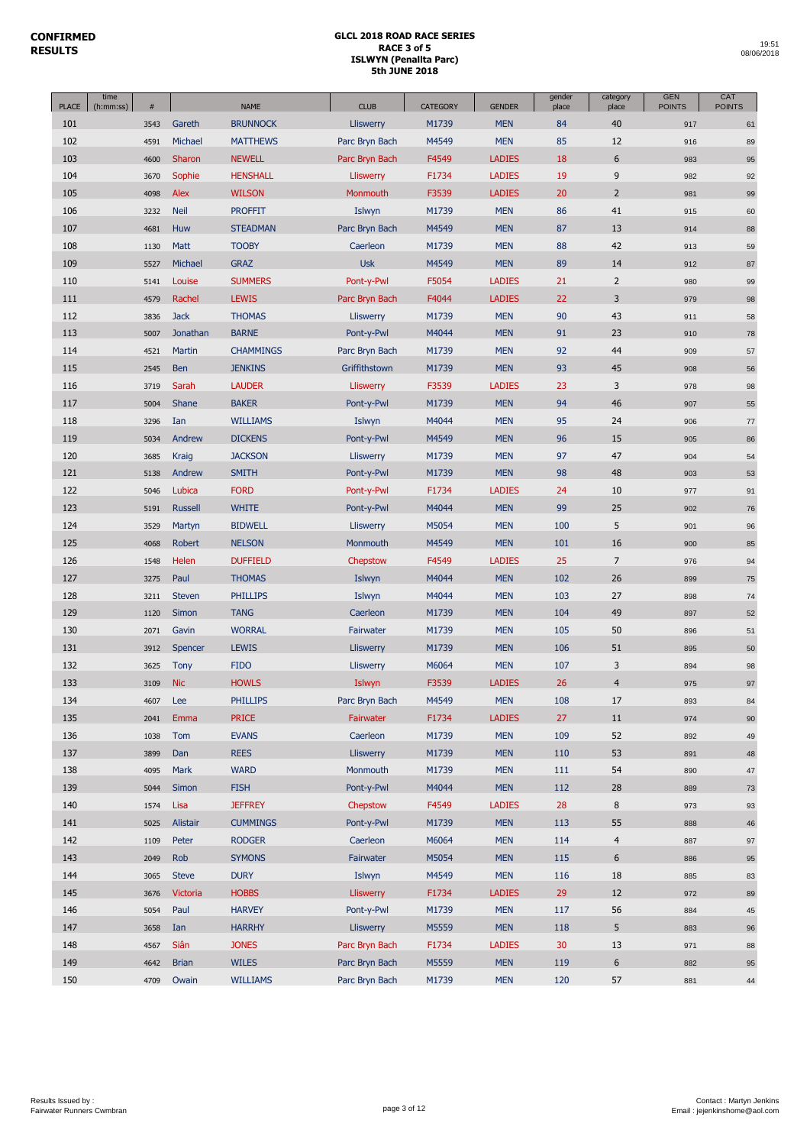| <b>PLACE</b> | time<br>(h:mm:ss) | $\#$ |                | <b>NAME</b>      | <b>CLUB</b>      | <b>CATEGORY</b> | <b>GENDER</b> | gender<br>place | category<br>place | <b>GEN</b><br><b>POINTS</b> | CAT<br><b>POINTS</b> |
|--------------|-------------------|------|----------------|------------------|------------------|-----------------|---------------|-----------------|-------------------|-----------------------------|----------------------|
| 101          |                   | 3543 | Gareth         | <b>BRUNNOCK</b>  | <b>Lliswerry</b> | M1739           | <b>MEN</b>    | 84              | 40                | 917                         | 61                   |
| 102          |                   | 4591 | Michael        | <b>MATTHEWS</b>  | Parc Bryn Bach   | M4549           | <b>MEN</b>    | 85              | 12                | 916                         | 89                   |
| 103          |                   | 4600 | Sharon         | <b>NEWELL</b>    | Parc Bryn Bach   | F4549           | <b>LADIES</b> | 18              | 6                 | 983                         | 95                   |
| 104          |                   | 3670 | Sophie         | <b>HENSHALL</b>  | Lliswerry        | F1734           | <b>LADIES</b> | 19              | 9                 | 982                         | 92                   |
| 105          |                   | 4098 | Alex           | <b>WILSON</b>    | Monmouth         | F3539           | <b>LADIES</b> | 20              | $\overline{2}$    | 981                         | 99                   |
| 106          |                   | 3232 | <b>Neil</b>    | <b>PROFFIT</b>   | Islwyn           | M1739           | <b>MEN</b>    | 86              | 41                | 915                         | 60                   |
| 107          |                   | 4681 | Huw            | <b>STEADMAN</b>  | Parc Bryn Bach   | M4549           | <b>MEN</b>    | 87              | 13                | 914                         | 88                   |
| 108          |                   | 1130 | Matt           | <b>TOOBY</b>     | Caerleon         | M1739           | <b>MEN</b>    | 88              | 42                | 913                         | 59                   |
| 109          |                   | 5527 | Michael        | <b>GRAZ</b>      | <b>Usk</b>       | M4549           | <b>MEN</b>    | 89              | 14                | 912                         | 87                   |
| 110          |                   | 5141 | Louise         | <b>SUMMERS</b>   | Pont-y-Pwl       | F5054           | <b>LADIES</b> | 21              | $\overline{2}$    | 980                         | 99                   |
| 111          |                   | 4579 | Rachel         | <b>LEWIS</b>     | Parc Bryn Bach   | F4044           | <b>LADIES</b> | 22              | 3                 | 979                         | 98                   |
| 112          |                   | 3836 | <b>Jack</b>    | <b>THOMAS</b>    | <b>Lliswerry</b> | M1739           | <b>MEN</b>    | 90              | 43                | 911                         | 58                   |
| 113          |                   | 5007 | Jonathan       | <b>BARNE</b>     | Pont-y-Pwl       | M4044           | <b>MEN</b>    | 91              | 23                | 910                         | 78                   |
| 114          |                   | 4521 | Martin         | <b>CHAMMINGS</b> | Parc Bryn Bach   | M1739           | <b>MEN</b>    | 92              | 44                | 909                         | 57                   |
| 115          |                   | 2545 | Ben            | <b>JENKINS</b>   | Griffithstown    | M1739           | <b>MEN</b>    | 93              | 45                | 908                         | 56                   |
| 116          |                   | 3719 | Sarah          | <b>LAUDER</b>    | Lliswerry        | F3539           | <b>LADIES</b> | 23              | 3                 | 978                         | 98                   |
| 117          |                   | 5004 | Shane          | <b>BAKER</b>     | Pont-y-Pwl       | M1739           | <b>MEN</b>    | 94              | 46                | 907                         | 55                   |
| 118          |                   | 3296 | Ian            | <b>WILLIAMS</b>  | Islwyn           | M4044           | <b>MEN</b>    | 95              | 24                | 906                         | 77                   |
| 119          |                   | 5034 | Andrew         | <b>DICKENS</b>   | Pont-y-Pwl       | M4549           | <b>MEN</b>    | 96              | 15                | 905                         | 86                   |
| 120          |                   | 3685 | Kraig          | <b>JACKSON</b>   | Lliswerry        | M1739           | <b>MEN</b>    | 97              | 47                | 904                         | 54                   |
| 121          |                   | 5138 | Andrew         | <b>SMITH</b>     | Pont-y-Pwl       | M1739           | <b>MEN</b>    | 98              | 48                | 903                         | 53                   |
|              |                   |      | Lubica         | <b>FORD</b>      |                  |                 |               |                 |                   |                             |                      |
| 122          |                   | 5046 |                |                  | Pont-y-Pwl       | F1734           | <b>LADIES</b> | 24<br>99        | 10<br>25          | 977                         | 91                   |
| 123          |                   | 5191 | <b>Russell</b> | <b>WHITE</b>     | Pont-y-Pwl       | M4044           | <b>MEN</b>    |                 |                   | 902                         | 76                   |
| 124          |                   | 3529 | Martyn         | <b>BIDWELL</b>   | <b>Lliswerry</b> | M5054           | <b>MEN</b>    | 100             | 5                 | 901                         | 96                   |
| 125          |                   | 4068 | Robert         | <b>NELSON</b>    | Monmouth         | M4549           | <b>MEN</b>    | 101             | 16                | 900                         | 85                   |
| 126          |                   | 1548 | Helen          | <b>DUFFIELD</b>  | Chepstow         | F4549           | <b>LADIES</b> | 25              | $\overline{7}$    | 976                         | 94                   |
| 127          |                   | 3275 | Paul           | <b>THOMAS</b>    | Islwyn           | M4044           | <b>MEN</b>    | 102             | 26                | 899                         | 75                   |
| 128          |                   | 3211 | <b>Steven</b>  | <b>PHILLIPS</b>  | Islwyn           | M4044           | <b>MEN</b>    | 103             | 27                | 898                         | 74                   |
| 129          |                   | 1120 | Simon          | <b>TANG</b>      | Caerleon         | M1739           | <b>MEN</b>    | 104             | 49                | 897                         | 52                   |
| 130          |                   | 2071 | Gavin          | <b>WORRAL</b>    | Fairwater        | M1739           | <b>MEN</b>    | 105             | 50                | 896                         | 51                   |
| 131          |                   | 3912 | Spencer        | <b>LEWIS</b>     | <b>Lliswerry</b> | M1739           | <b>MEN</b>    | 106             | 51                | 895                         | 50                   |
| 132          |                   | 3625 | <b>Tony</b>    | <b>FIDO</b>      | <b>Lliswerry</b> | M6064           | <b>MEN</b>    | 107             | 3                 | 894                         | 98                   |
| 133          |                   | 3109 | <b>Nic</b>     | <b>HOWLS</b>     | Islwyn           | F3539           | <b>LADIES</b> | 26              | $\overline{4}$    | 975                         | 97                   |
| 134          |                   | 4607 | Lee            | <b>PHILLIPS</b>  | Parc Bryn Bach   | M4549           | <b>MEN</b>    | 108             | 17                | 893                         | 84                   |
| 135          |                   | 2041 | Emma           | <b>PRICE</b>     | Fairwater        | F1734           | <b>LADIES</b> | 27              | 11                | 974                         | 90                   |
| 136          |                   | 1038 | Tom            | <b>EVANS</b>     | Caerleon         | M1739           | <b>MEN</b>    | 109             | 52                | 892                         | 49                   |
| 137          |                   | 3899 | Dan            | <b>REES</b>      | <b>Lliswerry</b> | M1739           | <b>MEN</b>    | 110             | 53                | 891                         | 48                   |
| 138          |                   | 4095 | Mark           | <b>WARD</b>      | Monmouth         | M1739           | <b>MEN</b>    | 111             | 54                | 890                         | 47                   |
| 139          |                   | 5044 | Simon          | <b>FISH</b>      | Pont-y-Pwl       | M4044           | <b>MEN</b>    | 112             | 28                | 889                         | 73                   |
| 140          |                   | 1574 | Lisa           | <b>JEFFREY</b>   | Chepstow         | F4549           | <b>LADIES</b> | 28              | 8                 | 973                         | 93                   |
| 141          |                   | 5025 | Alistair       | <b>CUMMINGS</b>  | Pont-y-Pwl       | M1739           | <b>MEN</b>    | 113             | 55                | 888                         | 46                   |
| 142          |                   | 1109 | Peter          | <b>RODGER</b>    | Caerleon         | M6064           | <b>MEN</b>    | 114             | $\overline{4}$    | 887                         | 97                   |
| 143          |                   | 2049 | Rob            | <b>SYMONS</b>    | Fairwater        | M5054           | <b>MEN</b>    | 115             | $\boldsymbol{6}$  | 886                         | 95                   |
| 144          |                   | 3065 | <b>Steve</b>   | <b>DURY</b>      | Islwyn           | M4549           | <b>MEN</b>    | 116             | 18                | 885                         | 83                   |
| 145          |                   | 3676 | Victoria       | <b>HOBBS</b>     | <b>Lliswerry</b> | F1734           | <b>LADIES</b> | 29              | 12                | 972                         | 89                   |
| 146          |                   | 5054 | Paul           | <b>HARVEY</b>    | Pont-y-Pwl       | M1739           | <b>MEN</b>    | 117             | 56                | 884                         | 45                   |
| 147          |                   | 3658 | Ian            | <b>HARRHY</b>    | Lliswerry        | M5559           | <b>MEN</b>    | 118             | 5                 | 883                         | 96                   |
| 148          |                   | 4567 | Siân           | <b>JONES</b>     | Parc Bryn Bach   | F1734           | <b>LADIES</b> | 30              | 13                | 971                         | 88                   |
| 149          |                   | 4642 | <b>Brian</b>   | <b>WILES</b>     | Parc Bryn Bach   | M5559           | <b>MEN</b>    | 119             | 6                 | 882                         | $95\,$               |
| 150          |                   | 4709 | Owain          | <b>WILLIAMS</b>  | Parc Bryn Bach   | M1739           | <b>MEN</b>    | 120             | 57                | 881                         | 44                   |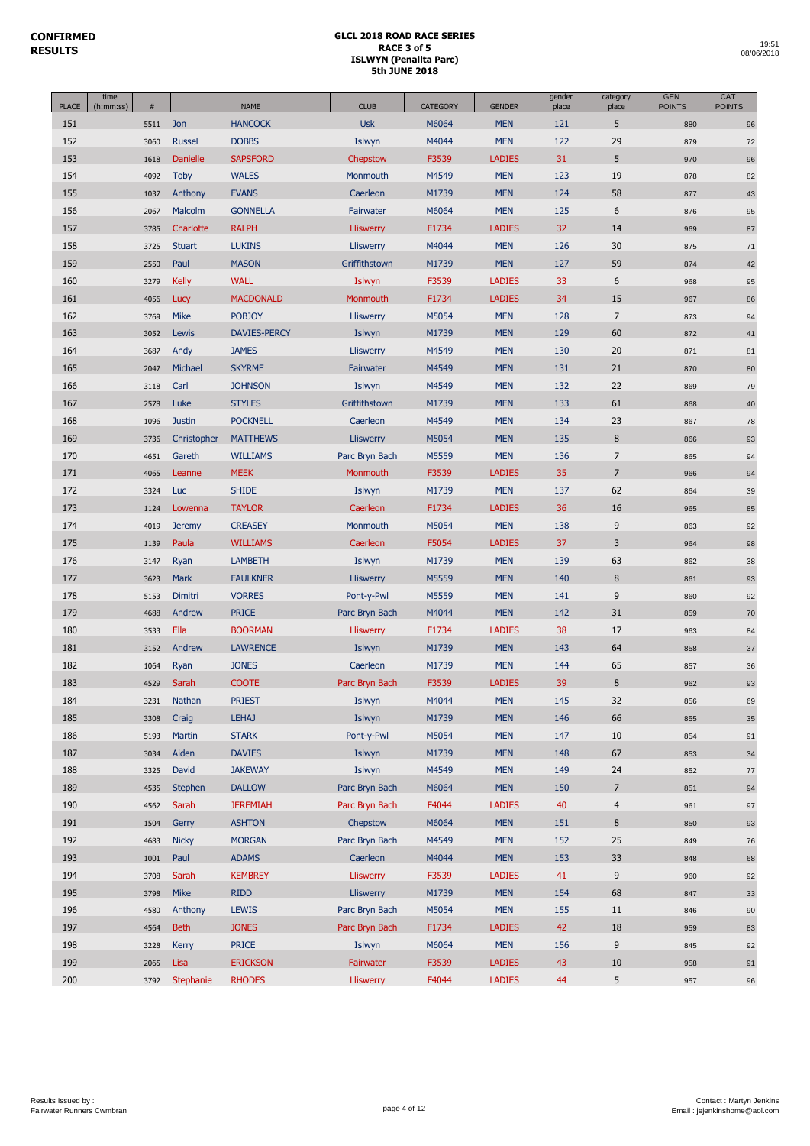|              | time      |      |                 |                     |                  |                 |               | gender | category       | <b>GEN</b>    | CAT           |
|--------------|-----------|------|-----------------|---------------------|------------------|-----------------|---------------|--------|----------------|---------------|---------------|
| <b>PLACE</b> | (h:mm:ss) | #    |                 | <b>NAME</b>         | <b>CLUB</b>      | <b>CATEGORY</b> | <b>GENDER</b> | place  | place          | <b>POINTS</b> | <b>POINTS</b> |
| 151          |           | 5511 | Jon             | <b>HANCOCK</b>      | <b>Usk</b>       | M6064           | <b>MEN</b>    | 121    | 5              | 880           | 96            |
| 152          |           | 3060 | <b>Russel</b>   | <b>DOBBS</b>        | Islwyn           | M4044           | <b>MEN</b>    | 122    | 29             | 879           | 72            |
| 153          |           | 1618 | <b>Danielle</b> | <b>SAPSFORD</b>     | Chepstow         | F3539           | <b>LADIES</b> | 31     | 5              | 970           | 96            |
| 154          |           | 4092 | <b>Toby</b>     | <b>WALES</b>        | Monmouth         | M4549           | <b>MEN</b>    | 123    | 19             | 878           | 82            |
| 155          |           | 1037 | Anthony         | <b>EVANS</b>        | Caerleon         | M1739           | <b>MEN</b>    | 124    | 58             | 877           | 43            |
| 156          |           | 2067 | Malcolm         | <b>GONNELLA</b>     | Fairwater        | M6064           | <b>MEN</b>    | 125    | 6              | 876           | 95            |
| 157          |           | 3785 | Charlotte       | <b>RALPH</b>        | Lliswerry        | F1734           | <b>LADIES</b> | 32     | 14             | 969           | 87            |
| 158          |           | 3725 | <b>Stuart</b>   | <b>LUKINS</b>       | Lliswerry        | M4044           | <b>MEN</b>    | 126    | 30             | 875           | 71            |
| 159          |           | 2550 | Paul            | <b>MASON</b>        | Griffithstown    | M1739           | <b>MEN</b>    | 127    | 59             | 874           | 42            |
| 160          |           | 3279 | <b>Kelly</b>    | <b>WALL</b>         | Islwyn           | F3539           | <b>LADIES</b> | 33     | 6              | 968           | 95            |
| 161          |           | 4056 | Lucy            | <b>MACDONALD</b>    | Monmouth         | F1734           | <b>LADIES</b> | 34     | 15             | 967           | 86            |
| 162          |           | 3769 | Mike            | <b>POBJOY</b>       | Lliswerry        | M5054           | <b>MEN</b>    | 128    | $\overline{7}$ | 873           | 94            |
| 163          |           | 3052 | Lewis           | <b>DAVIES-PERCY</b> | Islwyn           | M1739           | <b>MEN</b>    | 129    | 60             | 872           | 41            |
| 164          |           | 3687 | Andy            | <b>JAMES</b>        | Lliswerry        | M4549           | <b>MEN</b>    | 130    | 20             | 871           | 81            |
| 165          |           | 2047 | Michael         | <b>SKYRME</b>       | Fairwater        | M4549           | <b>MEN</b>    | 131    | 21             | 870           | 80            |
| 166          |           | 3118 | Carl            | <b>JOHNSON</b>      | Islwyn           | M4549           | <b>MEN</b>    | 132    | 22             | 869           | 79            |
| 167          |           | 2578 | Luke            | <b>STYLES</b>       | Griffithstown    | M1739           | <b>MEN</b>    | 133    | 61             | 868           | 40            |
| 168          |           | 1096 | <b>Justin</b>   | <b>POCKNELL</b>     | Caerleon         | M4549           | <b>MEN</b>    | 134    | 23             | 867           | 78            |
| 169          |           | 3736 | Christopher     | <b>MATTHEWS</b>     | Lliswerry        | M5054           | <b>MEN</b>    | 135    | $\bf 8$        | 866           | 93            |
| 170          |           | 4651 | Gareth          | <b>WILLIAMS</b>     | Parc Bryn Bach   | M5559           | <b>MEN</b>    | 136    | $\overline{7}$ | 865           | 94            |
| 171          |           | 4065 | Leanne          | <b>MEEK</b>         | Monmouth         | F3539           | <b>LADIES</b> | 35     | $\overline{7}$ | 966           | 94            |
| 172          |           | 3324 | <b>Luc</b>      | <b>SHIDE</b>        | Islwyn           | M1739           | <b>MEN</b>    | 137    | 62             | 864           |               |
| 173          |           |      |                 | <b>TAYLOR</b>       |                  | F1734           | <b>LADIES</b> | 36     | 16             |               | 39            |
|              |           | 1124 | Lowenna         |                     | Caerleon         |                 |               |        | 9              | 965           | 85            |
| 174          |           | 4019 | <b>Jeremy</b>   | <b>CREASEY</b>      | Monmouth         | M5054           | <b>MEN</b>    | 138    |                | 863           | 92            |
| 175          |           | 1139 | Paula           | <b>WILLIAMS</b>     | Caerleon         | F5054           | <b>LADIES</b> | 37     | 3              | 964           | 98            |
| 176          |           | 3147 | Ryan            | <b>LAMBETH</b>      | Islwyn           | M1739           | <b>MEN</b>    | 139    | 63             | 862           | 38            |
| 177          |           | 3623 | Mark            | <b>FAULKNER</b>     | Lliswerry        | M5559           | <b>MEN</b>    | 140    | $\bf 8$        | 861           | 93            |
| 178          |           | 5153 | Dimitri         | <b>VORRES</b>       | Pont-y-Pwl       | M5559           | <b>MEN</b>    | 141    | 9              | 860           | 92            |
| 179          |           | 4688 | Andrew          | <b>PRICE</b>        | Parc Bryn Bach   | M4044           | <b>MEN</b>    | 142    | 31             | 859           | 70            |
| 180          |           | 3533 | Ella            | <b>BOORMAN</b>      | <b>Lliswerry</b> | F1734           | <b>LADIES</b> | 38     | 17             | 963           | 84            |
| 181          |           | 3152 | Andrew          | <b>LAWRENCE</b>     | Islwyn           | M1739           | <b>MEN</b>    | 143    | 64             | 858           | 37            |
| 182          |           | 1064 | Ryan            | <b>JONES</b>        | Caerleon         | M1739           | <b>MEN</b>    | 144    | 65             | 857           | 36            |
| 183          |           | 4529 | Sarah           | <b>COOTE</b>        | Parc Bryn Bach   | F3539           | <b>LADIES</b> | 39     | 8              | 962           | 93            |
| 184          |           | 3231 | Nathan          | <b>PRIEST</b>       | Islwyn           | M4044           | <b>MEN</b>    | 145    | 32             | 856           | 69            |
| 185          |           | 3308 | Craig           | <b>LEHAJ</b>        | Islwyn           | M1739           | <b>MEN</b>    | 146    | 66             | 855           | 35            |
| 186          |           | 5193 | Martin          | <b>STARK</b>        | Pont-y-Pwl       | M5054           | <b>MEN</b>    | 147    | $10\,$         | 854           | 91            |
| 187          |           | 3034 | Aiden           | <b>DAVIES</b>       | Islwyn           | M1739           | <b>MEN</b>    | 148    | 67             | 853           | 34            |
| 188          |           | 3325 | David           | <b>JAKEWAY</b>      | Islwyn           | M4549           | <b>MEN</b>    | 149    | 24             | 852           | 77            |
| 189          |           | 4535 | Stephen         | <b>DALLOW</b>       | Parc Bryn Bach   | M6064           | <b>MEN</b>    | 150    | $\overline{7}$ | 851           | 94            |
| 190          |           | 4562 | Sarah           | <b>JEREMIAH</b>     | Parc Bryn Bach   | F4044           | <b>LADIES</b> | 40     | $\overline{4}$ | 961           | 97            |
| 191          |           | 1504 | Gerry           | <b>ASHTON</b>       | Chepstow         | M6064           | <b>MEN</b>    | 151    | $\bf 8$        | 850           | 93            |
| 192          |           | 4683 | <b>Nicky</b>    | <b>MORGAN</b>       | Parc Bryn Bach   | M4549           | <b>MEN</b>    | 152    | 25             | 849           | 76            |
| 193          |           | 1001 | Paul            | <b>ADAMS</b>        | Caerleon         | M4044           | <b>MEN</b>    | 153    | 33             | 848           | 68            |
| 194          |           | 3708 | Sarah           | <b>KEMBREY</b>      | Lliswerry        | F3539           | <b>LADIES</b> | 41     | 9              | 960           | 92            |
| 195          |           | 3798 | <b>Mike</b>     | <b>RIDD</b>         | Lliswerry        | M1739           | <b>MEN</b>    | 154    | 68             | 847           | 33            |
| 196          |           | 4580 | Anthony         | <b>LEWIS</b>        | Parc Bryn Bach   | M5054           | <b>MEN</b>    | 155    | 11             | 846           | 90            |
| 197          |           | 4564 | <b>Beth</b>     | <b>JONES</b>        | Parc Bryn Bach   | F1734           | <b>LADIES</b> | 42     | 18             | 959           | 83            |
| 198          |           | 3228 | <b>Kerry</b>    | <b>PRICE</b>        | Islwyn           | M6064           | <b>MEN</b>    | 156    | 9              | 845           | 92            |
| 199          |           | 2065 | Lisa            | <b>ERICKSON</b>     | Fairwater        | F3539           | <b>LADIES</b> | 43     | 10             | 958           | 91            |
| 200          |           | 3792 | Stephanie       | <b>RHODES</b>       | Lliswerry        | F4044           | <b>LADIES</b> | 44     | 5              | 957           | $96\,$        |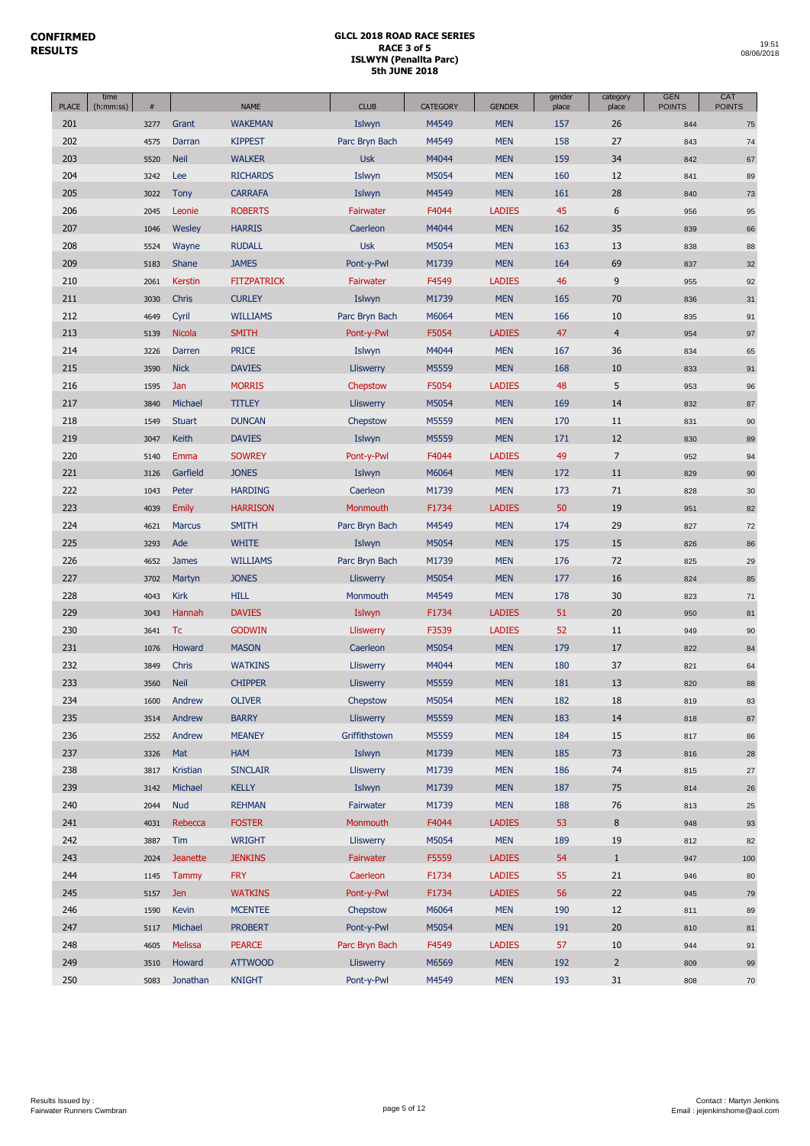| <b>PLACE</b> | time<br>(h:mm:ss) | #    |                 | <b>NAME</b>        | <b>CLUB</b>      | <b>CATEGORY</b> | <b>GENDER</b> | gender<br>place | category<br>place | <b>GEN</b><br><b>POINTS</b> | CAT<br><b>POINTS</b> |
|--------------|-------------------|------|-----------------|--------------------|------------------|-----------------|---------------|-----------------|-------------------|-----------------------------|----------------------|
| 201          |                   | 3277 | Grant           | <b>WAKEMAN</b>     | Islwyn           | M4549           | <b>MEN</b>    | 157             | 26                | 844                         | 75                   |
| 202          |                   | 4575 | Darran          | <b>KIPPEST</b>     | Parc Bryn Bach   | M4549           | <b>MEN</b>    | 158             | 27                | 843                         | 74                   |
| 203          |                   | 5520 | <b>Neil</b>     | <b>WALKER</b>      | <b>Usk</b>       | M4044           | <b>MEN</b>    | 159             | 34                | 842                         | 67                   |
| 204          |                   | 3242 | Lee             | <b>RICHARDS</b>    | Islwyn           | M5054           | <b>MEN</b>    | 160             | 12                | 841                         | 89                   |
| 205          |                   | 3022 | <b>Tony</b>     | <b>CARRAFA</b>     | Islwyn           | M4549           | <b>MEN</b>    | 161             | 28                | 840                         | 73                   |
| 206          |                   | 2045 | Leonie          | <b>ROBERTS</b>     | Fairwater        | F4044           | <b>LADIES</b> | 45              | 6                 | 956                         | 95                   |
| 207          |                   | 1046 | Wesley          | <b>HARRIS</b>      | Caerleon         | M4044           | <b>MEN</b>    | 162             | 35                | 839                         | 66                   |
| 208          |                   | 5524 | Wayne           | <b>RUDALL</b>      | <b>Usk</b>       | M5054           | <b>MEN</b>    | 163             | 13                | 838                         | 88                   |
| 209          |                   | 5183 | Shane           | <b>JAMES</b>       | Pont-y-Pwl       | M1739           | <b>MEN</b>    | 164             | 69                | 837                         | 32                   |
| 210          |                   | 2061 | <b>Kerstin</b>  | <b>FITZPATRICK</b> | Fairwater        | F4549           | <b>LADIES</b> | 46              | 9                 | 955                         | 92                   |
| 211          |                   | 3030 | Chris           | <b>CURLEY</b>      | Islwyn           | M1739           | <b>MEN</b>    | 165             | 70                | 836                         | 31                   |
| 212          |                   | 4649 | Cyril           | <b>WILLIAMS</b>    | Parc Bryn Bach   | M6064           | <b>MEN</b>    | 166             | 10                | 835                         | 91                   |
| 213          |                   | 5139 | <b>Nicola</b>   | <b>SMITH</b>       | Pont-y-Pwl       | F5054           | <b>LADIES</b> | 47              | $\overline{4}$    | 954                         | 97                   |
| 214          |                   | 3226 | Darren          | <b>PRICE</b>       | Islwyn           | M4044           | <b>MEN</b>    | 167             | 36                | 834                         | 65                   |
| 215          |                   | 3590 | <b>Nick</b>     | <b>DAVIES</b>      | Lliswerry        | M5559           | <b>MEN</b>    | 168             | 10                | 833                         | 91                   |
| 216          |                   | 1595 | Jan             | <b>MORRIS</b>      | Chepstow         | F5054           | <b>LADIES</b> | 48              | 5                 | 953                         | 96                   |
| 217          |                   | 3840 | Michael         | <b>TITLEY</b>      | Lliswerry        | M5054           | <b>MEN</b>    | 169             | 14                | 832                         | 87                   |
| 218          |                   | 1549 | <b>Stuart</b>   | <b>DUNCAN</b>      | Chepstow         | M5559           | <b>MEN</b>    | 170             | 11                | 831                         | 90                   |
| 219          |                   | 3047 | Keith           | <b>DAVIES</b>      | Islwyn           | M5559           | <b>MEN</b>    | 171             | 12                | 830                         | 89                   |
| 220          |                   | 5140 | Emma            | <b>SOWREY</b>      | Pont-y-Pwl       | F4044           | <b>LADIES</b> | 49              | $\overline{7}$    | 952                         | 94                   |
| 221          |                   | 3126 | Garfield        | <b>JONES</b>       | Islwyn           | M6064           | <b>MEN</b>    | 172             | 11                | 829                         | 90                   |
| 222          |                   | 1043 | Peter           | <b>HARDING</b>     | Caerleon         | M1739           | <b>MEN</b>    | 173             | 71                | 828                         | 30                   |
| 223          |                   | 4039 | <b>Emily</b>    | <b>HARRISON</b>    | Monmouth         | F1734           | <b>LADIES</b> | 50              | 19                | 951                         | 82                   |
| 224          |                   | 4621 | <b>Marcus</b>   | <b>SMITH</b>       | Parc Bryn Bach   | M4549           | <b>MEN</b>    | 174             | 29                | 827                         | 72                   |
| 225          |                   | 3293 | Ade             | <b>WHITE</b>       | Islwyn           | M5054           | <b>MEN</b>    | 175             | 15                | 826                         | 86                   |
| 226          |                   | 4652 | <b>James</b>    | <b>WILLIAMS</b>    | Parc Bryn Bach   | M1739           | <b>MEN</b>    | 176             | 72                | 825                         | 29                   |
| 227          |                   | 3702 | Martyn          | <b>JONES</b>       | Lliswerry        | M5054           | <b>MEN</b>    | 177             | 16                | 824                         | 85                   |
| 228          |                   | 4043 | <b>Kirk</b>     | <b>HILL</b>        | Monmouth         | M4549           | <b>MEN</b>    | 178             | 30                | 823                         | 71                   |
| 229          |                   | 3043 | Hannah          | <b>DAVIES</b>      | Islwyn           | F1734           | <b>LADIES</b> | 51              | 20                | 950                         | 81                   |
| 230          |                   | 3641 | Tc              | <b>GODWIN</b>      | <b>Lliswerry</b> | F3539           | <b>LADIES</b> | 52              | 11                | 949                         | 90                   |
| 231          |                   | 1076 | Howard          | <b>MASON</b>       | Caerleon         | M5054           | <b>MEN</b>    | 179             | 17                | 822                         | 84                   |
| 232          |                   | 3849 | Chris           | <b>WATKINS</b>     | <b>Lliswerry</b> | M4044           | <b>MEN</b>    | 180             | 37                | 821                         | 64                   |
| 233          |                   | 3560 | <b>Neil</b>     | <b>CHIPPER</b>     | <b>Lliswerry</b> | M5559           | <b>MEN</b>    | 181             | 13                | 820                         | 88                   |
| 234          |                   | 1600 | Andrew          | <b>OLIVER</b>      | Chepstow         | M5054           | <b>MEN</b>    | 182             | 18                | 819                         | 83                   |
| 235          |                   | 3514 | Andrew          | <b>BARRY</b>       | Lliswerry        | M5559           | <b>MEN</b>    | 183             | 14                | 818                         | 87                   |
| 236          |                   | 2552 | Andrew          | <b>MEANEY</b>      | Griffithstown    | M5559           | <b>MEN</b>    | 184             | 15                | 817                         | 86                   |
| 237          |                   | 3326 | Mat             | <b>HAM</b>         | Islwyn           | M1739           | <b>MEN</b>    | 185             | 73                | 816                         | 28                   |
| 238          |                   | 3817 | Kristian        | <b>SINCLAIR</b>    | Lliswerry        | M1739           | <b>MEN</b>    | 186             | 74                | 815                         | $27\,$               |
| 239          |                   | 3142 | Michael         | <b>KELLY</b>       | Islwyn           | M1739           | <b>MEN</b>    | 187             | 75                | 814                         | 26                   |
| 240          |                   | 2044 | <b>Nud</b>      | <b>REHMAN</b>      | Fairwater        | M1739           | <b>MEN</b>    | 188             | 76                | 813                         | 25                   |
| 241          |                   | 4031 | Rebecca         | <b>FOSTER</b>      | Monmouth         | F4044           | <b>LADIES</b> | 53              | 8                 | 948                         | 93                   |
| 242          |                   | 3887 | Tim             | <b>WRIGHT</b>      | <b>Lliswerry</b> | M5054           | <b>MEN</b>    | 189             | 19                | 812                         | 82                   |
| 243          |                   | 2024 | <b>Jeanette</b> | <b>JENKINS</b>     | Fairwater        | F5559           | <b>LADIES</b> | 54              | $\mathbf{1}$      | 947                         | 100                  |
| 244          |                   | 1145 | Tammy           | <b>FRY</b>         | Caerleon         | F1734           | <b>LADIES</b> | 55              | 21                | 946                         | 80                   |
| 245          |                   | 5157 | <b>Jen</b>      | <b>WATKINS</b>     | Pont-y-Pwl       | F1734           | <b>LADIES</b> | 56              | 22                | 945                         | 79                   |
| 246          |                   | 1590 | Kevin           | <b>MCENTEE</b>     | Chepstow         | M6064           | <b>MEN</b>    | 190             | 12                | 811                         | 89                   |
| 247          |                   | 5117 | Michael         | <b>PROBERT</b>     | Pont-y-Pwl       | M5054           | <b>MEN</b>    | 191             | 20                | 810                         | 81                   |
| 248          |                   | 4605 | Melissa         | <b>PEARCE</b>      | Parc Bryn Bach   | F4549           | <b>LADIES</b> | 57              | 10                | 944                         | 91                   |
| 249          |                   | 3510 | Howard          | <b>ATTWOOD</b>     | <b>Lliswerry</b> | M6569           | <b>MEN</b>    | 192             | $\overline{2}$    | 809                         | 99                   |
| 250          |                   | 5083 | Jonathan        | <b>KNIGHT</b>      | Pont-y-Pwl       | M4549           | <b>MEN</b>    | 193             | 31                | 808                         | 70                   |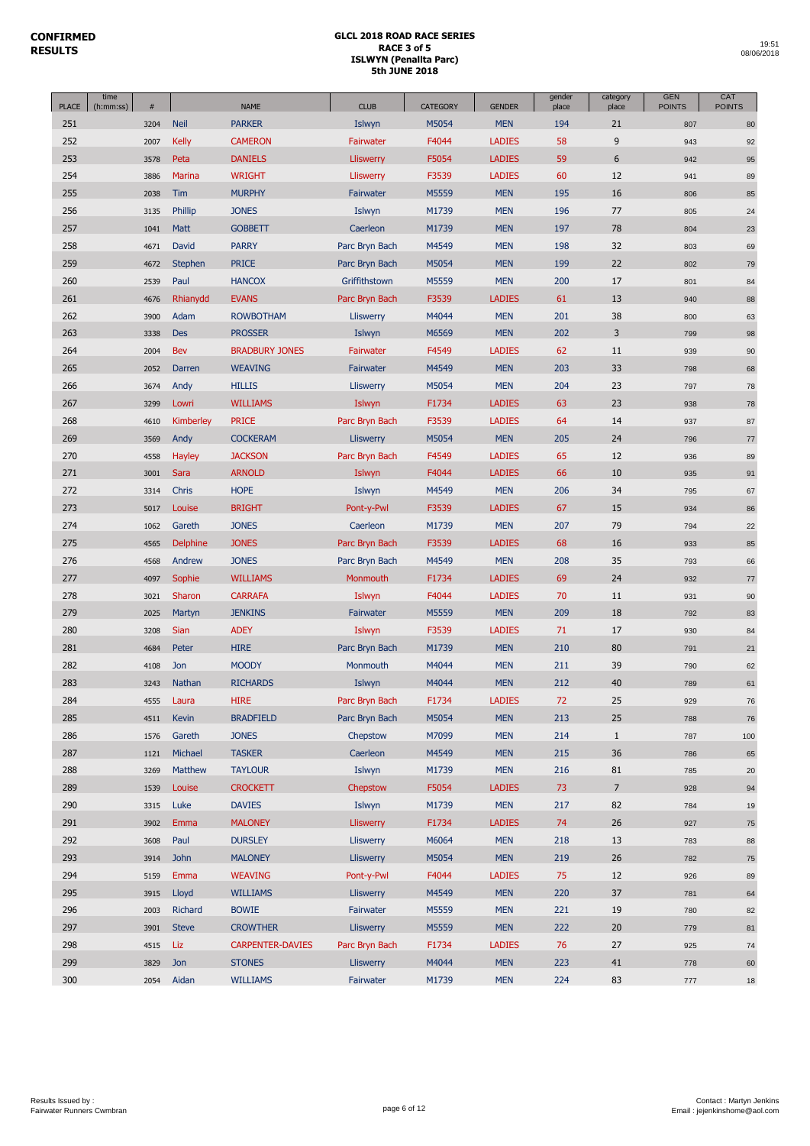|              | time      |      |              |                         |                  |                 |               | gender | category       | <b>GEN</b>    | CAT           |
|--------------|-----------|------|--------------|-------------------------|------------------|-----------------|---------------|--------|----------------|---------------|---------------|
| <b>PLACE</b> | (h:mm:ss) | #    |              | <b>NAME</b>             | <b>CLUB</b>      | <b>CATEGORY</b> | <b>GENDER</b> | place  | place          | <b>POINTS</b> | <b>POINTS</b> |
| 251          |           | 3204 | <b>Neil</b>  | <b>PARKER</b>           | Islwyn           | M5054           | <b>MEN</b>    | 194    | 21             | 807           | 80            |
| 252          |           | 2007 | <b>Kelly</b> | <b>CAMERON</b>          | Fairwater        | F4044           | <b>LADIES</b> | 58     | 9              | 943           | 92            |
| 253          |           | 3578 | Peta         | <b>DANIELS</b>          | Lliswerry        | F5054           | <b>LADIES</b> | 59     | 6              | 942           | 95            |
| 254          |           | 3886 | Marina       | <b>WRIGHT</b>           | <b>Lliswerry</b> | F3539           | <b>LADIES</b> | 60     | 12             | 941           | 89            |
| 255          |           | 2038 | Tim          | <b>MURPHY</b>           | Fairwater        | M5559           | <b>MEN</b>    | 195    | 16             | 806           | 85            |
| 256          |           | 3135 | Phillip      | <b>JONES</b>            | Islwyn           | M1739           | <b>MEN</b>    | 196    | 77             | 805           | 24            |
| 257          |           | 1041 | Matt         | <b>GOBBETT</b>          | Caerleon         | M1739           | <b>MEN</b>    | 197    | 78             | 804           | 23            |
| 258          |           | 4671 | David        | <b>PARRY</b>            | Parc Bryn Bach   | M4549           | <b>MEN</b>    | 198    | 32             | 803           | 69            |
| 259          |           | 4672 | Stephen      | <b>PRICE</b>            | Parc Bryn Bach   | M5054           | <b>MEN</b>    | 199    | 22             | 802           | 79            |
| 260          |           | 2539 | Paul         | <b>HANCOX</b>           | Griffithstown    | M5559           | <b>MEN</b>    | 200    | 17             | 801           | 84            |
| 261          |           | 4676 | Rhianydd     | <b>EVANS</b>            | Parc Bryn Bach   | F3539           | <b>LADIES</b> | 61     | 13             | 940           | 88            |
| 262          |           | 3900 | Adam         | <b>ROWBOTHAM</b>        | <b>Lliswerry</b> | M4044           | <b>MEN</b>    | 201    | 38             | 800           | 63            |
| 263          |           | 3338 | <b>Des</b>   | <b>PROSSER</b>          | Islwyn           | M6569           | <b>MEN</b>    | 202    | 3              | 799           | 98            |
| 264          |           | 2004 | Bev          | <b>BRADBURY JONES</b>   | Fairwater        | F4549           | <b>LADIES</b> | 62     | 11             | 939           | 90            |
| 265          |           | 2052 | Darren       | <b>WEAVING</b>          | Fairwater        | M4549           | <b>MEN</b>    | 203    | 33             | 798           | 68            |
| 266          |           | 3674 | Andy         | <b>HILLIS</b>           | Lliswerry        | M5054           | <b>MEN</b>    | 204    | 23             | 797           | 78            |
| 267          |           | 3299 | Lowri        | <b>WILLIAMS</b>         | Islwyn           | F1734           | <b>LADIES</b> | 63     | 23             | 938           | 78            |
| 268          |           | 4610 | Kimberley    | <b>PRICE</b>            | Parc Bryn Bach   | F3539           | <b>LADIES</b> | 64     | 14             | 937           | 87            |
| 269          |           | 3569 | Andy         | <b>COCKERAM</b>         | <b>Lliswerry</b> | M5054           | <b>MEN</b>    | 205    | 24             | 796           | 77            |
| 270          |           | 4558 | Hayley       | <b>JACKSON</b>          | Parc Bryn Bach   | F4549           | <b>LADIES</b> | 65     | 12             | 936           | 89            |
| 271          |           | 3001 | Sara         | <b>ARNOLD</b>           | Islwyn           | F4044           | <b>LADIES</b> | 66     | 10             | 935           | 91            |
| 272          |           | 3314 | Chris        | <b>HOPE</b>             | Islwyn           | M4549           | <b>MEN</b>    | 206    | 34             | 795           | 67            |
| 273          |           | 5017 | Louise       | <b>BRIGHT</b>           | Pont-y-Pwl       | F3539           | <b>LADIES</b> | 67     | 15             | 934           | 86            |
| 274          |           | 1062 | Gareth       | <b>JONES</b>            | Caerleon         | M1739           | <b>MEN</b>    | 207    | 79             | 794           | 22            |
| 275          |           | 4565 | Delphine     | <b>JONES</b>            | Parc Bryn Bach   | F3539           | <b>LADIES</b> | 68     | 16             | 933           | 85            |
| 276          |           | 4568 | Andrew       | <b>JONES</b>            | Parc Bryn Bach   | M4549           | <b>MEN</b>    | 208    | 35             | 793           | 66            |
| 277          |           | 4097 | Sophie       | <b>WILLIAMS</b>         | Monmouth         | F1734           | <b>LADIES</b> | 69     | 24             | 932           | $77 \,$       |
| 278          |           | 3021 | Sharon       | <b>CARRAFA</b>          | Islwyn           | F4044           | <b>LADIES</b> | 70     | 11             | 931           | 90            |
| 279          |           | 2025 | Martyn       | <b>JENKINS</b>          | Fairwater        | M5559           | <b>MEN</b>    | 209    | 18             | 792           | 83            |
| 280          |           | 3208 | <b>Sian</b>  | <b>ADEY</b>             | Islwyn           | F3539           | <b>LADIES</b> | 71     | 17             | 930           | 84            |
| 281          |           | 4684 | Peter        | <b>HIRE</b>             | Parc Bryn Bach   | M1739           | <b>MEN</b>    | 210    | 80             | 791           | 21            |
| 282          |           | 4108 | Jon          | <b>MOODY</b>            | Monmouth         | M4044           | <b>MEN</b>    | 211    | 39             | 790           | 62            |
| 283          |           | 3243 | Nathan       | <b>RICHARDS</b>         | Islwyn           | M4044           | <b>MEN</b>    | 212    | 40             | 789           | 61            |
| 284          |           | 4555 | Laura        | <b>HIRE</b>             | Parc Bryn Bach   | F1734           | <b>LADIES</b> | 72     | 25             | 929           | 76            |
| 285          |           | 4511 | Kevin        | <b>BRADFIELD</b>        | Parc Bryn Bach   | M5054           | <b>MEN</b>    | 213    | 25             | 788           | 76            |
| 286          |           | 1576 | Gareth       | <b>JONES</b>            | Chepstow         | M7099           | <b>MEN</b>    | 214    | $\mathbf{1}$   | 787           | 100           |
| 287          |           | 1121 | Michael      | <b>TASKER</b>           | Caerleon         | M4549           | <b>MEN</b>    | 215    | 36             | 786           | 65            |
| 288          |           | 3269 | Matthew      | <b>TAYLOUR</b>          | Islwyn           | M1739           | <b>MEN</b>    | 216    | $81\,$         | 785           | 20            |
| 289          |           | 1539 | Louise       | <b>CROCKETT</b>         | Chepstow         | F5054           | <b>LADIES</b> | 73     | $\overline{7}$ | 928           | 94            |
| 290          |           | 3315 | Luke         | <b>DAVIES</b>           | Islwyn           | M1739           | <b>MEN</b>    | 217    | 82             | 784           | 19            |
| 291          |           | 3902 | Emma         | <b>MALONEY</b>          | <b>Lliswerry</b> | F1734           | <b>LADIES</b> | 74     | 26             | 927           | 75            |
| 292          |           | 3608 | Paul         | <b>DURSLEY</b>          | Lliswerry        | M6064           | <b>MEN</b>    | 218    | 13             | 783           | 88            |
| 293          |           | 3914 | <b>John</b>  | <b>MALONEY</b>          | <b>Lliswerry</b> | M5054           | <b>MEN</b>    | 219    | 26             | 782           | 75            |
| 294          |           | 5159 | Emma         | <b>WEAVING</b>          | Pont-y-Pwl       | F4044           | <b>LADIES</b> | 75     | 12             | 926           | 89            |
| 295          |           | 3915 | Lloyd        | <b>WILLIAMS</b>         | <b>Lliswerry</b> | M4549           | <b>MEN</b>    | 220    | 37             | 781           | 64            |
| 296          |           | 2003 | Richard      | <b>BOWIE</b>            | Fairwater        | M5559           | <b>MEN</b>    | 221    | 19             | 780           | 82            |
| 297          |           | 3901 | <b>Steve</b> | <b>CROWTHER</b>         | <b>Lliswerry</b> | M5559           | <b>MEN</b>    | 222    | $20\,$         | 779           | 81            |
| 298          |           | 4515 | Liz          | <b>CARPENTER-DAVIES</b> | Parc Bryn Bach   | F1734           | <b>LADIES</b> | 76     | 27             | 925           | 74            |
| 299          |           | 3829 | Jon          | <b>STONES</b>           | <b>Lliswerry</b> | M4044           | <b>MEN</b>    | 223    | 41             | 778           | 60            |
| 300          |           | 2054 |              | <b>WILLIAMS</b>         | Fairwater        | M1739           | <b>MEN</b>    | 224    | 83             |               |               |
|              |           |      | Aidan        |                         |                  |                 |               |        |                | 777           | 18            |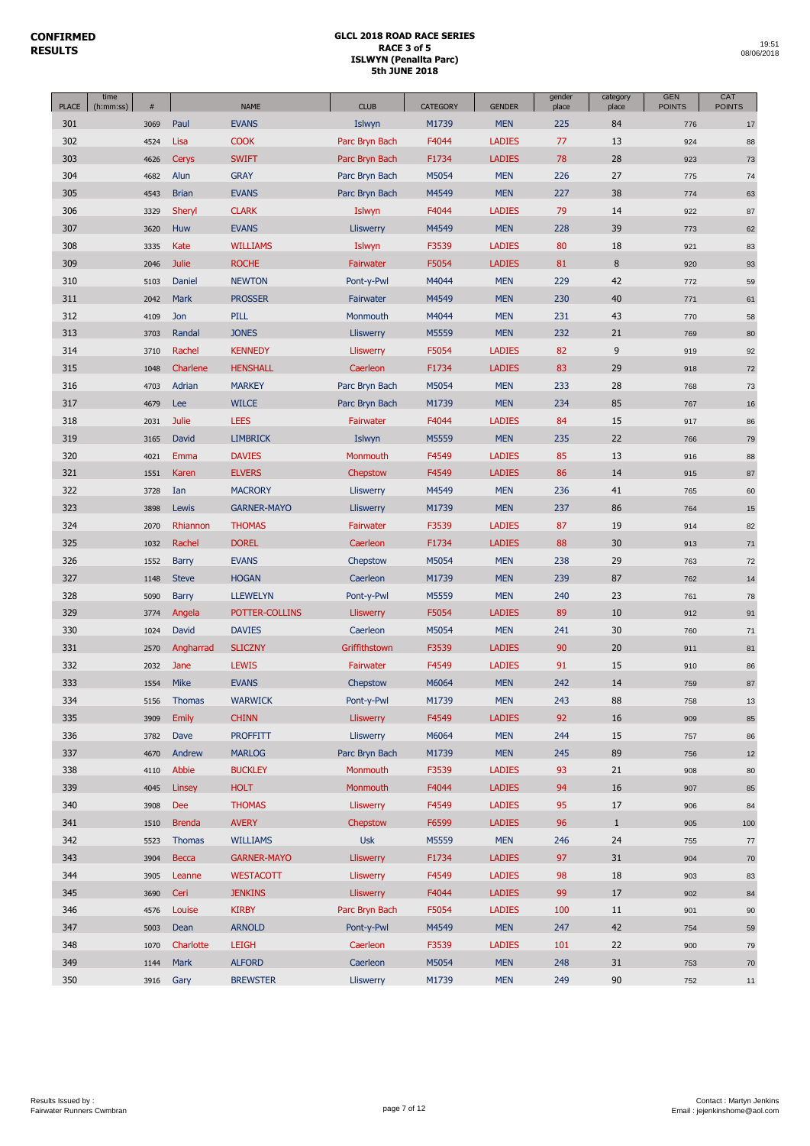| <b>PLACE</b> | time<br>$\#$<br>(h:mm:ss) |               | <b>NAME</b>        | <b>CLUB</b>      | CATEGORY | <b>GENDER</b> | gender<br>place | category<br>place | <b>GEN</b><br><b>POINTS</b> | CAT<br><b>POINTS</b> |
|--------------|---------------------------|---------------|--------------------|------------------|----------|---------------|-----------------|-------------------|-----------------------------|----------------------|
| 301          | 3069                      | Paul          | <b>EVANS</b>       | Islwyn           | M1739    | <b>MEN</b>    | 225             | 84                | 776                         | 17                   |
| 302          | 4524                      | Lisa          | <b>COOK</b>        | Parc Bryn Bach   | F4044    | <b>LADIES</b> | 77              | 13                | 924                         | 88                   |
| 303          | 4626                      | <b>Cerys</b>  | <b>SWIFT</b>       | Parc Bryn Bach   | F1734    | <b>LADIES</b> | 78              | 28                | 923                         | 73                   |
| 304          | 4682                      | Alun          | <b>GRAY</b>        | Parc Bryn Bach   | M5054    | <b>MEN</b>    | 226             | 27                | 775                         | 74                   |
| 305          | 4543                      | <b>Brian</b>  | <b>EVANS</b>       | Parc Bryn Bach   | M4549    | <b>MEN</b>    | 227             | 38                | 774                         | 63                   |
| 306          | 3329                      | Sheryl        | <b>CLARK</b>       | Islwyn           | F4044    | <b>LADIES</b> | 79              | 14                | 922                         | 87                   |
| 307          | 3620                      | Huw           | <b>EVANS</b>       | Lliswerry        | M4549    | <b>MEN</b>    | 228             | 39                | 773                         | 62                   |
| 308          | 3335                      | Kate          | <b>WILLIAMS</b>    | Islwyn           | F3539    | <b>LADIES</b> | 80              | 18                | 921                         | 83                   |
| 309          | 2046                      | <b>Julie</b>  | <b>ROCHE</b>       | Fairwater        | F5054    | <b>LADIES</b> | 81              | $\, 8$            | 920                         | 93                   |
| 310          | 5103                      | Daniel        | <b>NEWTON</b>      | Pont-y-Pwl       | M4044    | <b>MEN</b>    | 229             | 42                | 772                         | 59                   |
| 311          | 2042                      | Mark          | <b>PROSSER</b>     | Fairwater        | M4549    | <b>MEN</b>    | 230             | 40                | 771                         | 61                   |
| 312          | 4109                      | Jon           | <b>PILL</b>        | Monmouth         | M4044    | <b>MEN</b>    | 231             | 43                | 770                         | 58                   |
| 313          | 3703                      | Randal        | <b>JONES</b>       | Lliswerry        | M5559    | <b>MEN</b>    | 232             | 21                | 769                         | 80                   |
| 314          | 3710                      | Rachel        | <b>KENNEDY</b>     | Lliswerry        | F5054    | <b>LADIES</b> | 82              | $\overline{9}$    | 919                         | 92                   |
| 315          | 1048                      | Charlene      | <b>HENSHALL</b>    | Caerleon         | F1734    | <b>LADIES</b> | 83              | 29                | 918                         | 72                   |
| 316          | 4703                      | Adrian        | <b>MARKEY</b>      | Parc Bryn Bach   | M5054    | <b>MEN</b>    | 233             | 28                | 768                         | 73                   |
| 317          | 4679                      | Lee           | <b>WILCE</b>       | Parc Bryn Bach   | M1739    | <b>MEN</b>    | 234             | 85                | 767                         | 16                   |
| 318          | 2031                      | <b>Julie</b>  | <b>LEES</b>        | Fairwater        | F4044    | <b>LADIES</b> | 84              | 15                | 917                         | 86                   |
| 319          | 3165                      | David         | <b>LIMBRICK</b>    | Islwyn           | M5559    | <b>MEN</b>    | 235             | 22                | 766                         | 79                   |
| 320          | 4021                      | Emma          | <b>DAVIES</b>      | Monmouth         | F4549    | <b>LADIES</b> | 85              | 13                | 916                         | 88                   |
| 321          | 1551                      | Karen         | <b>ELVERS</b>      | Chepstow         | F4549    | <b>LADIES</b> | 86              | 14                | 915                         | 87                   |
| 322          | 3728                      | Ian           | <b>MACRORY</b>     | Lliswerry        | M4549    | <b>MEN</b>    | 236             | 41                | 765                         | 60                   |
| 323          | 3898                      | Lewis         | <b>GARNER-MAYO</b> | Lliswerry        | M1739    | <b>MEN</b>    | 237             | 86                | 764                         | 15                   |
| 324          | 2070                      | Rhiannon      | <b>THOMAS</b>      | Fairwater        | F3539    | <b>LADIES</b> | 87              | 19                | 914                         | 82                   |
| 325          | 1032                      | Rachel        | <b>DOREL</b>       | Caerleon         | F1734    | <b>LADIES</b> | 88              | 30                | 913                         | 71                   |
| 326          | 1552                      | <b>Barry</b>  | <b>EVANS</b>       | Chepstow         | M5054    | <b>MEN</b>    | 238             | 29                | 763                         | 72                   |
| 327          | 1148                      | <b>Steve</b>  | <b>HOGAN</b>       | Caerleon         | M1739    | <b>MEN</b>    | 239             | 87                | 762                         | 14                   |
| 328          | 5090                      | <b>Barry</b>  | <b>LLEWELYN</b>    | Pont-y-Pwl       | M5559    | <b>MEN</b>    | 240             | 23                | 761                         | 78                   |
| 329          | 3774                      | Angela        | POTTER-COLLINS     | Lliswerry        | F5054    | <b>LADIES</b> | 89              | 10                | 912                         | 91                   |
| 330          | 1024                      | David         | <b>DAVIES</b>      | Caerleon         | M5054    | <b>MEN</b>    | 241             | 30                | 760                         | 71                   |
| 331          | 2570                      | Angharrad     | <b>SLICZNY</b>     | Griffithstown    | F3539    | <b>LADIES</b> | 90              | 20                | 911                         | 81                   |
| 332          | 2032                      | Jane          | <b>LEWIS</b>       | Fairwater        | F4549    | <b>LADIES</b> | 91              | 15                | 910                         | 86                   |
| 333          | 1554                      | Mike          | <b>EVANS</b>       | Chepstow         | M6064    | <b>MEN</b>    | 242             | 14                | 759                         | 87                   |
| 334          | 5156                      | <b>Thomas</b> | <b>WARWICK</b>     | Pont-y-Pwl       | M1739    | <b>MEN</b>    | 243             | 88                | 758                         | 13                   |
| 335          | 3909                      | <b>Emily</b>  | <b>CHINN</b>       | <b>Lliswerry</b> | F4549    | <b>LADIES</b> | 92              | 16                | 909                         | 85                   |
| 336          | 3782                      | Dave          | <b>PROFFITT</b>    | <b>Lliswerry</b> | M6064    | <b>MEN</b>    | 244             | 15                | 757                         | 86                   |
| 337          | 4670                      | Andrew        | <b>MARLOG</b>      | Parc Bryn Bach   | M1739    | <b>MEN</b>    | 245             | 89                | 756                         | 12                   |
| 338          | 4110                      | Abbie         | <b>BUCKLEY</b>     | Monmouth         | F3539    | <b>LADIES</b> | 93              | 21                | 908                         | 80                   |
| 339          | 4045                      | Linsey        | <b>HOLT</b>        | Monmouth         | F4044    | <b>LADIES</b> | 94              | 16                | 907                         | 85                   |
| 340          | 3908                      | Dee           | <b>THOMAS</b>      | Lliswerry        | F4549    | <b>LADIES</b> | 95              | 17                | 906                         | 84                   |
| 341          | 1510                      | <b>Brenda</b> | <b>AVERY</b>       | Chepstow         | F6599    | <b>LADIES</b> | 96              | $\mathbf{1}$      | 905                         | 100                  |
| 342          | 5523                      | <b>Thomas</b> | <b>WILLIAMS</b>    | <b>Usk</b>       | M5559    | <b>MEN</b>    | 246             | 24                | 755                         | 77                   |
| 343          | 3904                      | <b>Becca</b>  | <b>GARNER-MAYO</b> | <b>Lliswerry</b> | F1734    | <b>LADIES</b> | 97              | 31                | 904                         | 70                   |
| 344          | 3905                      | Leanne        | <b>WESTACOTT</b>   | Lliswerry        | F4549    | <b>LADIES</b> | 98              | 18                | 903                         | 83                   |
| 345          | 3690                      | Ceri          | <b>JENKINS</b>     | <b>Lliswerry</b> | F4044    | <b>LADIES</b> | 99              | 17                | 902                         | 84                   |
| 346          | 4576                      | Louise        | <b>KIRBY</b>       | Parc Bryn Bach   | F5054    | <b>LADIES</b> | 100             | 11                | 901                         | 90                   |
| 347          | 5003                      | Dean          | <b>ARNOLD</b>      | Pont-y-Pwl       | M4549    | <b>MEN</b>    | 247             | 42                | 754                         | 59                   |
| 348          | 1070                      | Charlotte     | <b>LEIGH</b>       | Caerleon         | F3539    | LADIES        | 101             | 22                | 900                         | 79                   |
| 349          | 1144                      | <b>Mark</b>   | <b>ALFORD</b>      | Caerleon         | M5054    | <b>MEN</b>    | 248             | 31                | 753                         | 70                   |
| 350          | 3916                      | Gary          | <b>BREWSTER</b>    | <b>Lliswerry</b> | M1739    | <b>MEN</b>    | 249             | 90                | 752                         | 11                   |
|              |                           |               |                    |                  |          |               |                 |                   |                             |                      |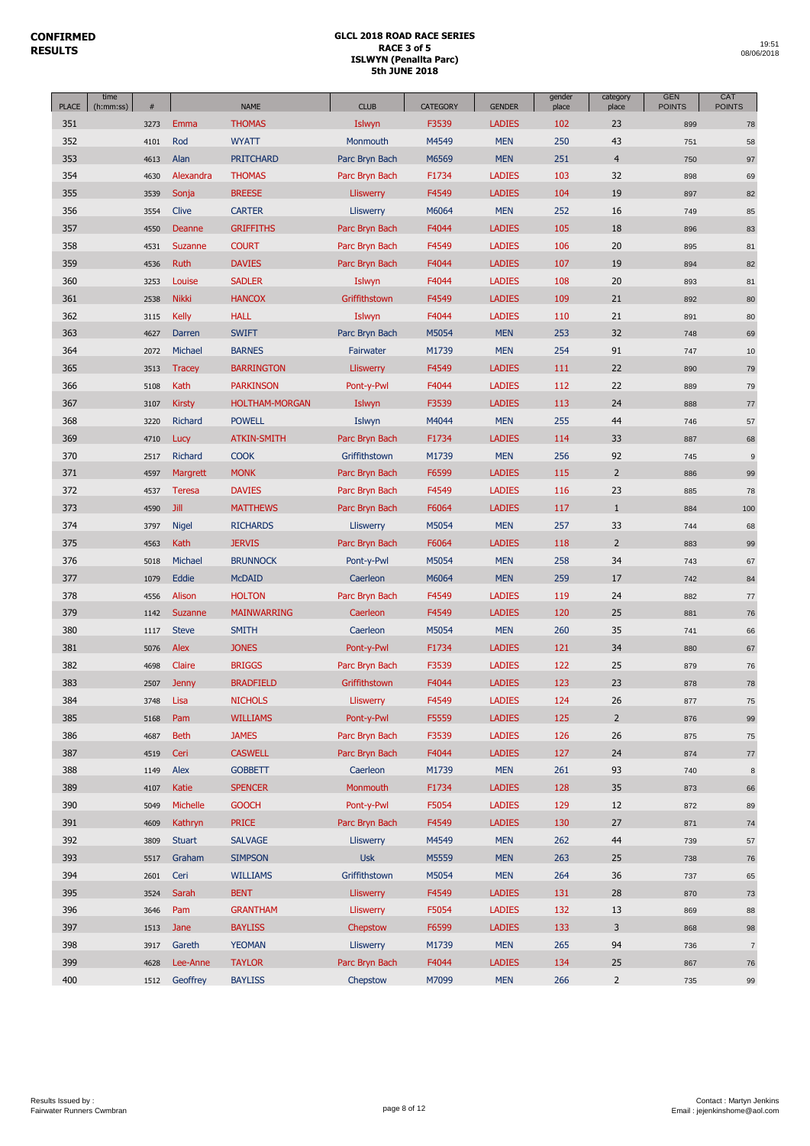| <b>PLACE</b> | time<br>(h:mm:ss) | $\#$ |               | <b>NAME</b>           | <b>CLUB</b>      | <b>CATEGORY</b> | <b>GENDER</b> | gender<br>place | category<br>place | <b>GEN</b><br><b>POINTS</b> | CAT<br><b>POINTS</b> |
|--------------|-------------------|------|---------------|-----------------------|------------------|-----------------|---------------|-----------------|-------------------|-----------------------------|----------------------|
| 351          |                   | 3273 | Emma          | <b>THOMAS</b>         | Islwyn           | F3539           | <b>LADIES</b> | 102             | 23                | 899                         | 78                   |
| 352          |                   | 4101 | Rod           | <b>WYATT</b>          | Monmouth         | M4549           | <b>MEN</b>    | 250             | 43                | 751                         | 58                   |
| 353          |                   | 4613 | Alan          | <b>PRITCHARD</b>      | Parc Bryn Bach   | M6569           | <b>MEN</b>    | 251             | $\overline{4}$    | 750                         | 97                   |
| 354          |                   | 4630 | Alexandra     | <b>THOMAS</b>         | Parc Bryn Bach   | F1734           | <b>LADIES</b> | 103             | 32                | 898                         | 69                   |
| 355          |                   | 3539 | Sonja         | <b>BREESE</b>         | <b>Lliswerry</b> | F4549           | <b>LADIES</b> | 104             | 19                | 897                         | 82                   |
| 356          |                   | 3554 | Clive         | <b>CARTER</b>         | Lliswerry        | M6064           | <b>MEN</b>    | 252             | 16                | 749                         | 85                   |
| 357          |                   | 4550 | Deanne        | <b>GRIFFITHS</b>      | Parc Bryn Bach   | F4044           | <b>LADIES</b> | 105             | 18                | 896                         | 83                   |
| 358          |                   | 4531 | Suzanne       | <b>COURT</b>          | Parc Bryn Bach   | F4549           | <b>LADIES</b> | 106             | 20                | 895                         | 81                   |
| 359          |                   | 4536 | Ruth          | <b>DAVIES</b>         | Parc Bryn Bach   | F4044           | <b>LADIES</b> | 107             | 19                | 894                         | 82                   |
| 360          |                   | 3253 | Louise        | <b>SADLER</b>         | Islwyn           | F4044           | <b>LADIES</b> | 108             | 20                | 893                         | 81                   |
| 361          |                   | 2538 | <b>Nikki</b>  | <b>HANCOX</b>         | Griffithstown    | F4549           | <b>LADIES</b> | 109             | 21                | 892                         | 80                   |
| 362          |                   | 3115 | <b>Kelly</b>  | <b>HALL</b>           | Islwyn           | F4044           | <b>LADIES</b> | 110             | 21                | 891                         | 80                   |
| 363          |                   | 4627 | Darren        | <b>SWIFT</b>          | Parc Bryn Bach   | M5054           | <b>MEN</b>    | 253             | 32                | 748                         | 69                   |
| 364          |                   | 2072 | Michael       | <b>BARNES</b>         | Fairwater        | M1739           | <b>MEN</b>    | 254             | 91                | 747                         | 10                   |
| 365          |                   | 3513 | <b>Tracey</b> | <b>BARRINGTON</b>     | <b>Lliswerry</b> | F4549           | <b>LADIES</b> | 111             | 22                | 890                         | 79                   |
| 366          |                   | 5108 | Kath          | <b>PARKINSON</b>      | Pont-y-Pwl       | F4044           | <b>LADIES</b> | 112             | 22                | 889                         | 79                   |
| 367          |                   | 3107 | <b>Kirsty</b> | <b>HOLTHAM-MORGAN</b> | Islwyn           | F3539           | <b>LADIES</b> | 113             | 24                | 888                         | 77                   |
| 368          |                   | 3220 | Richard       | <b>POWELL</b>         | Islwyn           | M4044           | <b>MEN</b>    | 255             | 44                | 746                         | 57                   |
| 369          |                   | 4710 | Lucy          | <b>ATKIN-SMITH</b>    | Parc Bryn Bach   | F1734           | <b>LADIES</b> | 114             | 33                | 887                         | 68                   |
| 370          |                   |      | Richard       | <b>COOK</b>           | Griffithstown    | M1739           | <b>MEN</b>    | 256             | 92                |                             |                      |
|              |                   | 2517 |               |                       | Parc Bryn Bach   |                 |               |                 | $\overline{2}$    | 745                         | $9$                  |
| 371          |                   | 4597 | Margrett      | <b>MONK</b>           |                  | F6599           | <b>LADIES</b> | 115             |                   | 886                         | 99                   |
| 372          |                   | 4537 | <b>Teresa</b> | <b>DAVIES</b>         | Parc Bryn Bach   | F4549           | <b>LADIES</b> | 116             | 23                | 885                         | 78                   |
| 373          |                   | 4590 | <b>Jill</b>   | <b>MATTHEWS</b>       | Parc Bryn Bach   | F6064           | <b>LADIES</b> | 117             | $\mathbf{1}$      | 884                         | 100                  |
| 374          |                   | 3797 | <b>Nigel</b>  | <b>RICHARDS</b>       | Lliswerry        | M5054           | <b>MEN</b>    | 257             | 33                | 744                         | 68                   |
| 375          |                   | 4563 | Kath          | <b>JERVIS</b>         | Parc Bryn Bach   | F6064           | <b>LADIES</b> | 118             | $\overline{2}$    | 883                         | 99                   |
| 376          |                   | 5018 | Michael       | <b>BRUNNOCK</b>       | Pont-y-Pwl       | M5054           | <b>MEN</b>    | 258             | 34                | 743                         | 67                   |
| 377          |                   | 1079 | Eddie         | <b>McDAID</b>         | Caerleon         | M6064           | <b>MEN</b>    | 259             | 17                | 742                         | 84                   |
| 378          |                   | 4556 | Alison        | <b>HOLTON</b>         | Parc Bryn Bach   | F4549           | <b>LADIES</b> | 119             | 24                | 882                         | 77                   |
| 379          |                   | 1142 | Suzanne       | <b>MAINWARRING</b>    | Caerleon         | F4549           | <b>LADIES</b> | 120             | 25                | 881                         | 76                   |
| 380          |                   | 1117 | <b>Steve</b>  | <b>SMITH</b>          | Caerleon         | M5054           | <b>MEN</b>    | 260             | 35                | 741                         | 66                   |
| 381          |                   | 5076 | Alex          | <b>JONES</b>          | Pont-y-Pwl       | F1734           | <b>LADIES</b> | 121             | 34                | 880                         | 67                   |
| 382          |                   | 4698 | Claire        | <b>BRIGGS</b>         | Parc Bryn Bach   | F3539           | <b>LADIES</b> | 122             | 25                | 879                         | 76                   |
| 383          |                   | 2507 | <b>Jenny</b>  | <b>BRADFIELD</b>      | Griffithstown    | F4044           | <b>LADIES</b> | 123             | 23                | 878                         | 78                   |
| 384          |                   | 3748 | Lisa          | <b>NICHOLS</b>        | Lliswerry        | F4549           | <b>LADIES</b> | 124             | 26                | 877                         | 75                   |
| 385          |                   | 5168 | Pam           | <b>WILLIAMS</b>       | Pont-y-Pwl       | F5559           | <b>LADIES</b> | 125             | $\overline{2}$    | 876                         | 99                   |
| 386          |                   | 4687 | <b>Beth</b>   | <b>JAMES</b>          | Parc Bryn Bach   | F3539           | <b>LADIES</b> | 126             | 26                | 875                         | 75                   |
| 387          |                   | 4519 | Ceri          | <b>CASWELL</b>        | Parc Bryn Bach   | F4044           | <b>LADIES</b> | 127             | 24                | 874                         | $77\,$               |
| 388          |                   | 1149 | Alex          | <b>GOBBETT</b>        | Caerleon         | M1739           | <b>MEN</b>    | 261             | 93                | 740                         | 8                    |
| 389          |                   | 4107 | Katie         | <b>SPENCER</b>        | <b>Monmouth</b>  | F1734           | <b>LADIES</b> | 128             | 35                | 873                         | 66                   |
| 390          |                   | 5049 | Michelle      | <b>GOOCH</b>          | Pont-y-Pwl       | F5054           | <b>LADIES</b> | 129             | 12                | 872                         | 89                   |
| 391          |                   | 4609 | Kathryn       | <b>PRICE</b>          | Parc Bryn Bach   | F4549           | <b>LADIES</b> | 130             | 27                | 871                         | 74                   |
| 392          |                   | 3809 | <b>Stuart</b> | <b>SALVAGE</b>        | <b>Lliswerry</b> | M4549           | <b>MEN</b>    | 262             | 44                | 739                         | 57                   |
| 393          |                   | 5517 | Graham        | <b>SIMPSON</b>        | <b>Usk</b>       | M5559           | <b>MEN</b>    | 263             | 25                | 738                         | 76                   |
| 394          |                   | 2601 | Ceri          | <b>WILLIAMS</b>       | Griffithstown    | M5054           | <b>MEN</b>    | 264             | 36                | 737                         | 65                   |
| 395          |                   | 3524 | Sarah         | <b>BENT</b>           | <b>Lliswerry</b> | F4549           | <b>LADIES</b> | 131             | 28                | 870                         | 73                   |
| 396          |                   | 3646 | Pam           | <b>GRANTHAM</b>       | Lliswerry        | F5054           | <b>LADIES</b> | 132             | 13                | 869                         | 88                   |
| 397          |                   | 1513 | Jane          | <b>BAYLISS</b>        | Chepstow         | F6599           | <b>LADIES</b> | 133             | 3                 | 868                         | 98                   |
| 398          |                   | 3917 | Gareth        | <b>YEOMAN</b>         | <b>Lliswerry</b> | M1739           | <b>MEN</b>    | 265             | 94                | 736                         | $\overline{7}$       |
| 399          |                   | 4628 | Lee-Anne      | <b>TAYLOR</b>         | Parc Bryn Bach   | F4044           | <b>LADIES</b> | 134             | 25                | 867                         | 76                   |
| 400          |                   | 1512 | Geoffrey      | <b>BAYLISS</b>        | Chepstow         | M7099           | <b>MEN</b>    | 266             | $\overline{2}$    | 735                         | 99                   |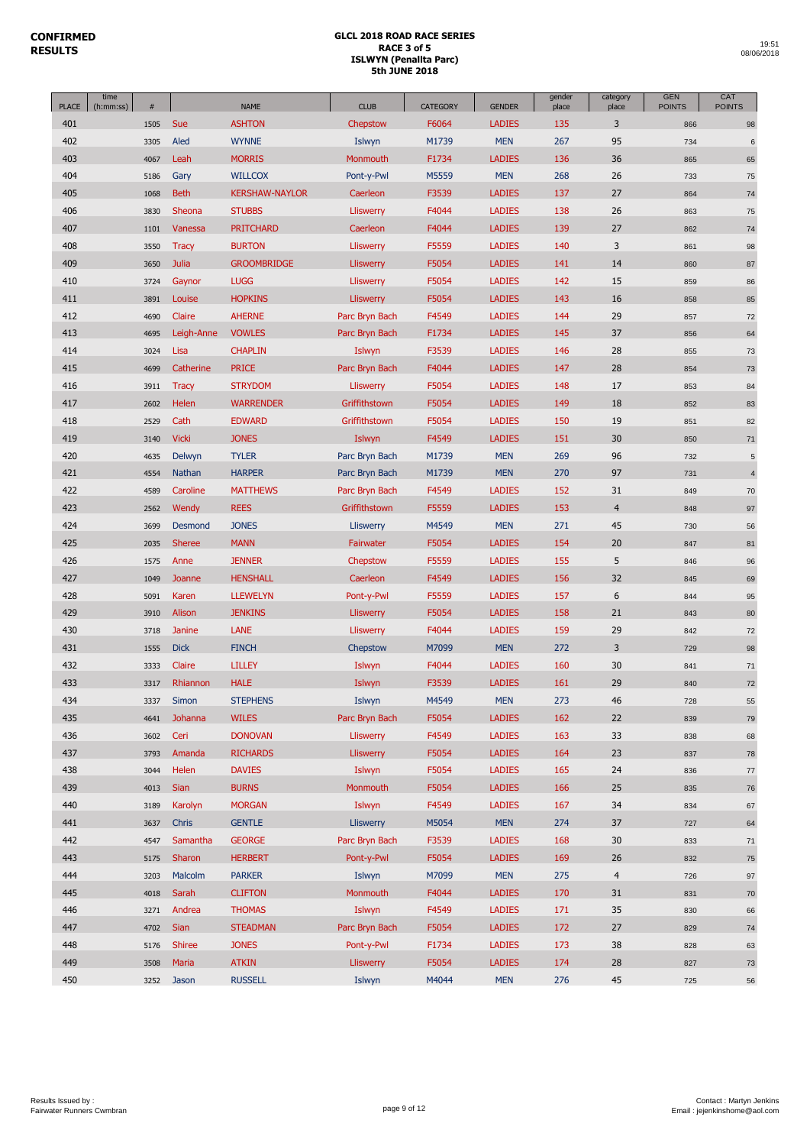| time<br><b>PLACE</b><br>(h:mm:ss) | $\#$ |               | <b>NAME</b>           | <b>CLUB</b>      | <b>CATEGORY</b> | <b>GENDER</b> | gender<br>place | category<br>place | <b>GEN</b><br><b>POINTS</b> | CAT<br><b>POINTS</b> |
|-----------------------------------|------|---------------|-----------------------|------------------|-----------------|---------------|-----------------|-------------------|-----------------------------|----------------------|
| 401                               | 1505 | Sue           | <b>ASHTON</b>         | Chepstow         | F6064           | <b>LADIES</b> | 135             | 3                 | 866                         | 98                   |
| 402                               | 3305 | Aled          | <b>WYNNE</b>          | Islwyn           | M1739           | <b>MEN</b>    | 267             | 95                | 734                         | $\,6\,$              |
| 403                               | 4067 | Leah          | <b>MORRIS</b>         | Monmouth         | F1734           | <b>LADIES</b> | 136             | 36                | 865                         | 65                   |
| 404                               | 5186 | Gary          | <b>WILLCOX</b>        | Pont-y-Pwl       | M5559           | <b>MEN</b>    | 268             | 26                | 733                         | 75                   |
| 405                               | 1068 | <b>Beth</b>   | <b>KERSHAW-NAYLOR</b> | Caerleon         | F3539           | <b>LADIES</b> | 137             | 27                | 864                         | 74                   |
| 406                               | 3830 | Sheona        | <b>STUBBS</b>         | <b>Lliswerry</b> | F4044           | <b>LADIES</b> | 138             | 26                | 863                         | 75                   |
| 407                               | 1101 | Vanessa       | <b>PRITCHARD</b>      | Caerleon         | F4044           | <b>LADIES</b> | 139             | 27                | 862                         | 74                   |
| 408                               | 3550 | <b>Tracy</b>  | <b>BURTON</b>         | <b>Lliswerry</b> | F5559           | <b>LADIES</b> | 140             | 3                 | 861                         | 98                   |
| 409                               | 3650 | Julia         | <b>GROOMBRIDGE</b>    | <b>Lliswerry</b> | F5054           | <b>LADIES</b> | 141             | 14                | 860                         | 87                   |
| 410                               | 3724 | Gaynor        | <b>LUGG</b>           | Lliswerry        | F5054           | <b>LADIES</b> | 142             | 15                | 859                         | 86                   |
| 411                               | 3891 | Louise        | <b>HOPKINS</b>        | Lliswerry        | F5054           | <b>LADIES</b> | 143             | 16                | 858                         | 85                   |
| 412                               | 4690 | Claire        | <b>AHERNE</b>         | Parc Bryn Bach   | F4549           | <b>LADIES</b> | 144             | 29                | 857                         | 72                   |
| 413                               | 4695 | Leigh-Anne    | <b>VOWLES</b>         | Parc Bryn Bach   | F1734           | <b>LADIES</b> | 145             | 37                | 856                         | 64                   |
| 414                               | 3024 | Lisa          | <b>CHAPLIN</b>        | Islwyn           | F3539           | <b>LADIES</b> | 146             | 28                | 855                         | 73                   |
| 415                               | 4699 | Catherine     | <b>PRICE</b>          | Parc Bryn Bach   | F4044           | <b>LADIES</b> | 147             | 28                | 854                         | 73                   |
| 416                               | 3911 | <b>Tracy</b>  | <b>STRYDOM</b>        | Lliswerry        | F5054           | <b>LADIES</b> | 148             | 17                | 853                         | 84                   |
| 417                               | 2602 | Helen         | <b>WARRENDER</b>      | Griffithstown    | F5054           | <b>LADIES</b> | 149             | 18                | 852                         | 83                   |
| 418                               | 2529 | Cath          | <b>EDWARD</b>         | Griffithstown    | F5054           | <b>LADIES</b> | 150             | 19                | 851                         | 82                   |
| 419                               | 3140 | <b>Vicki</b>  | <b>JONES</b>          | Islwyn           | F4549           | <b>LADIES</b> | 151             | 30                | 850                         | 71                   |
| 420                               | 4635 | Delwyn        | <b>TYLER</b>          | Parc Bryn Bach   | M1739           | <b>MEN</b>    | 269             | 96                | 732                         | $\mathbf 5$          |
| 421                               | 4554 | Nathan        | <b>HARPER</b>         | Parc Bryn Bach   | M1739           | <b>MEN</b>    | 270             | 97                | 731                         | $\overline{4}$       |
| 422                               | 4589 | Caroline      | <b>MATTHEWS</b>       | Parc Bryn Bach   | F4549           | <b>LADIES</b> | 152             | 31                | 849                         | 70                   |
| 423                               | 2562 | Wendy         | <b>REES</b>           | Griffithstown    | F5559           | <b>LADIES</b> | 153             | $\overline{4}$    | 848                         | 97                   |
| 424                               | 3699 | Desmond       | <b>JONES</b>          | Lliswerry        | M4549           | <b>MEN</b>    | 271             | 45                | 730                         | 56                   |
| 425                               | 2035 | <b>Sheree</b> | <b>MANN</b>           | Fairwater        | F5054           | <b>LADIES</b> | 154             | 20                | 847                         | 81                   |
| 426                               | 1575 | Anne          | <b>JENNER</b>         | Chepstow         | F5559           | <b>LADIES</b> | 155             | 5                 | 846                         | 96                   |
| 427                               | 1049 | Joanne        | <b>HENSHALL</b>       | Caerleon         | F4549           | <b>LADIES</b> | 156             | 32                | 845                         | 69                   |
| 428                               | 5091 | Karen         | <b>LLEWELYN</b>       | Pont-y-Pwl       | F5559           | <b>LADIES</b> | 157             | 6                 | 844                         | 95                   |
| 429                               | 3910 | Alison        | <b>JENKINS</b>        | Lliswerry        | F5054           | <b>LADIES</b> | 158             | 21                | 843                         | 80                   |
| 430                               | 3718 | Janine        | <b>LANE</b>           | Lliswerry        | F4044           | <b>LADIES</b> | 159             | 29                | 842                         | 72                   |
| 431                               | 1555 | <b>Dick</b>   | <b>FINCH</b>          | Chepstow         | M7099           | <b>MEN</b>    | 272             | 3                 | 729                         | 98                   |
| 432                               | 3333 | Claire        | <b>LILLEY</b>         | Islwyn           | F4044           | <b>LADIES</b> | 160             | 30                | 841                         | 71                   |
| 433                               | 3317 | Rhiannon      | <b>HALE</b>           | Islwyn           | F3539           | <b>LADIES</b> | 161             | 29                | 840                         | 72                   |
| 434                               | 3337 | Simon         | <b>STEPHENS</b>       | Islwyn           | M4549           | <b>MEN</b>    | 273             | 46                | 728                         | 55                   |
| 435                               | 4641 | Johanna       | <b>WILES</b>          | Parc Bryn Bach   | F5054           | <b>LADIES</b> | 162             | 22                | 839                         | 79                   |
| 436                               | 3602 | Ceri          | <b>DONOVAN</b>        | Lliswerry        | F4549           | <b>LADIES</b> | 163             | 33                | 838                         | 68                   |
| 437                               | 3793 | Amanda        | <b>RICHARDS</b>       | <b>Lliswerry</b> | F5054           | <b>LADIES</b> | 164             | 23                | 837                         | ${\bf 78}$           |
| 438                               | 3044 | Helen         | <b>DAVIES</b>         | Islwyn           | F5054           | <b>LADIES</b> | 165             | 24                | 836                         | 77                   |
| 439                               | 4013 | <b>Sian</b>   | <b>BURNS</b>          | Monmouth         | F5054           | <b>LADIES</b> | 166             | 25                | 835                         | 76                   |
| 440                               | 3189 | Karolyn       | <b>MORGAN</b>         | Islwyn           | F4549           | <b>LADIES</b> | 167             | 34                | 834                         | 67                   |
| 441                               | 3637 | Chris         | <b>GENTLE</b>         | <b>Lliswerry</b> | M5054           | <b>MEN</b>    | 274             | 37                | 727                         | 64                   |
| 442                               | 4547 | Samantha      | <b>GEORGE</b>         | Parc Bryn Bach   | F3539           | <b>LADIES</b> | 168             | 30                | 833                         | 71                   |
| 443                               | 5175 | Sharon        | <b>HERBERT</b>        | Pont-y-Pwl       | F5054           | <b>LADIES</b> | 169             | 26                | 832                         | ${\bf 75}$           |
| 444                               | 3203 | Malcolm       | <b>PARKER</b>         | Islwyn           | M7099           | <b>MEN</b>    | 275             | $\overline{4}$    | 726                         | 97                   |
| 445                               | 4018 | Sarah         | <b>CLIFTON</b>        | Monmouth         | F4044           | <b>LADIES</b> | 170             | 31                | 831                         | 70                   |
| 446                               | 3271 | Andrea        | <b>THOMAS</b>         | Islwyn           | F4549           | <b>LADIES</b> | 171             | 35                | 830                         | 66                   |
| 447                               | 4702 | Sian          | <b>STEADMAN</b>       | Parc Bryn Bach   | F5054           | <b>LADIES</b> | 172             | 27                | 829                         | 74                   |
| 448                               | 5176 | Shiree        | <b>JONES</b>          | Pont-y-Pwl       | F1734           | <b>LADIES</b> | 173             | 38                | 828                         | 63                   |
| 449                               | 3508 | Maria         | <b>ATKIN</b>          | <b>Lliswerry</b> | F5054           | <b>LADIES</b> | 174             | 28                | 827                         | 73                   |
| 450                               | 3252 | Jason         | <b>RUSSELL</b>        | Islwyn           | M4044           | <b>MEN</b>    | 276             | 45                | 725                         | 56                   |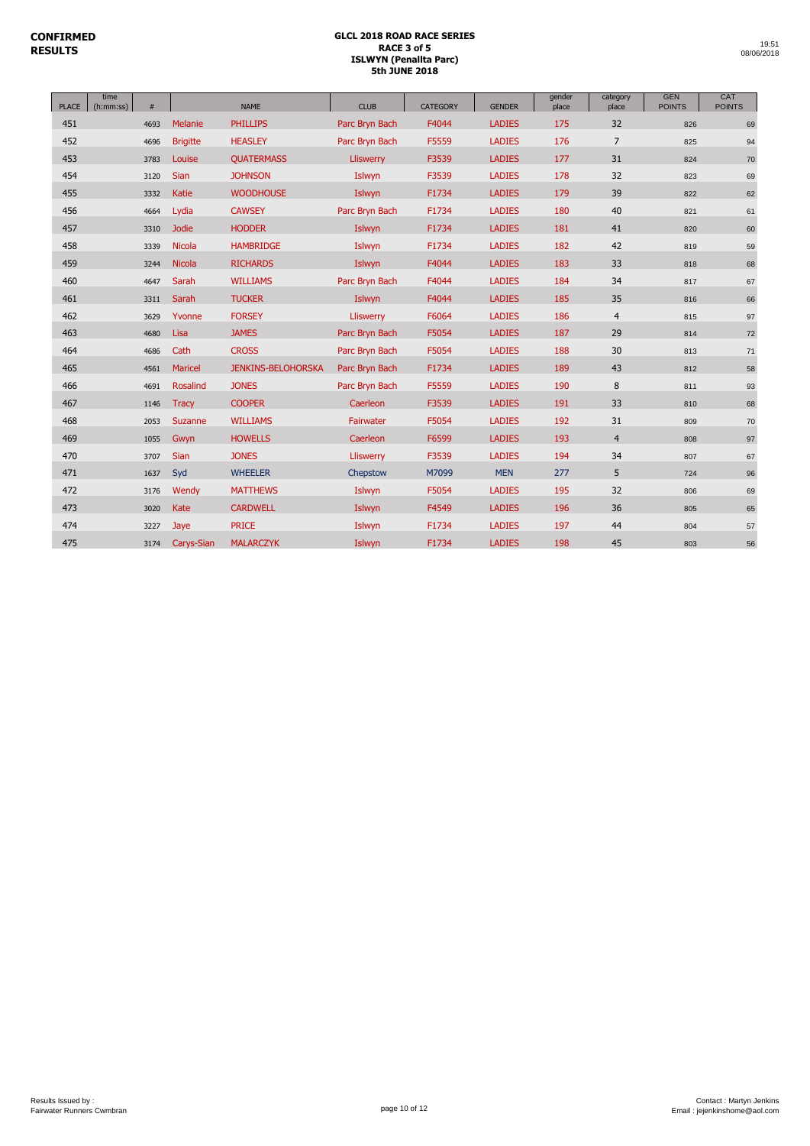| <b>PLACE</b> | time<br>(h:mm:ss) | #    |                 | <b>NAME</b>               | <b>CLUB</b>    | <b>CATEGORY</b> | <b>GENDER</b> | gender<br>place | category<br>place | <b>GEN</b><br><b>POINTS</b> | CAT<br><b>POINTS</b> |
|--------------|-------------------|------|-----------------|---------------------------|----------------|-----------------|---------------|-----------------|-------------------|-----------------------------|----------------------|
| 451          |                   | 4693 | Melanie         | <b>PHILLIPS</b>           | Parc Bryn Bach | F4044           | <b>LADIES</b> | 175             | 32                | 826                         | 69                   |
| 452          |                   | 4696 | <b>Brigitte</b> | <b>HEASLEY</b>            | Parc Bryn Bach | F5559           | <b>LADIES</b> | 176             | $\overline{7}$    | 825                         | 94                   |
| 453          |                   | 3783 | Louise          | <b>QUATERMASS</b>         | Lliswerry      | F3539           | <b>LADIES</b> | 177             | 31                | 824                         | 70                   |
| 454          |                   | 3120 | <b>Sian</b>     | <b>JOHNSON</b>            | Islwyn         | F3539           | <b>LADIES</b> | 178             | 32                | 823                         | 69                   |
| 455          |                   | 3332 | Katie           | <b>WOODHOUSE</b>          | Islwyn         | F1734           | <b>LADIES</b> | 179             | 39                | 822                         | 62                   |
| 456          |                   | 4664 | Lydia           | <b>CAWSEY</b>             | Parc Bryn Bach | F1734           | <b>LADIES</b> | 180             | 40                | 821                         | 61                   |
| 457          |                   | 3310 | <b>Jodie</b>    | <b>HODDER</b>             | Islwyn         | F1734           | <b>LADIES</b> | 181             | 41                | 820                         | 60                   |
| 458          |                   | 3339 | Nicola          | <b>HAMBRIDGE</b>          | Islwyn         | F1734           | <b>LADIES</b> | 182             | 42                | 819                         | 59                   |
| 459          |                   | 3244 | Nicola          | <b>RICHARDS</b>           | Islwyn         | F4044           | <b>LADIES</b> | 183             | 33                | 818                         | 68                   |
| 460          |                   | 4647 | Sarah           | <b>WILLIAMS</b>           | Parc Bryn Bach | F4044           | <b>LADIES</b> | 184             | 34                | 817                         | 67                   |
| 461          |                   | 3311 | Sarah           | <b>TUCKER</b>             | Islwyn         | F4044           | <b>LADIES</b> | 185             | 35                | 816                         | 66                   |
| 462          |                   | 3629 | Yvonne          | <b>FORSEY</b>             | Lliswerry      | F6064           | <b>LADIES</b> | 186             | 4                 | 815                         | 97                   |
| 463          |                   | 4680 | Lisa            | <b>JAMES</b>              | Parc Bryn Bach | F5054           | <b>LADIES</b> | 187             | 29                | 814                         | 72                   |
| 464          |                   | 4686 | Cath            | <b>CROSS</b>              | Parc Bryn Bach | F5054           | <b>LADIES</b> | 188             | 30                | 813                         | 71                   |
| 465          |                   | 4561 | Maricel         | <b>JENKINS-BELOHORSKA</b> | Parc Bryn Bach | F1734           | <b>LADIES</b> | 189             | 43                | 812                         | 58                   |
| 466          |                   | 4691 | Rosalind        | <b>JONES</b>              | Parc Bryn Bach | F5559           | <b>LADIES</b> | 190             | 8                 | 811                         | 93                   |
| 467          |                   | 1146 | <b>Tracy</b>    | <b>COOPER</b>             | Caerleon       | F3539           | <b>LADIES</b> | 191             | 33                | 810                         | 68                   |
| 468          |                   | 2053 | Suzanne         | <b>WILLIAMS</b>           | Fairwater      | F5054           | <b>LADIES</b> | 192             | 31                | 809                         | 70                   |
| 469          |                   | 1055 | Gwyn            | <b>HOWELLS</b>            | Caerleon       | F6599           | <b>LADIES</b> | 193             | $\overline{4}$    | 808                         | 97                   |
| 470          |                   | 3707 | <b>Sian</b>     | <b>JONES</b>              | Lliswerry      | F3539           | <b>LADIES</b> | 194             | 34                | 807                         | 67                   |
| 471          |                   | 1637 | Syd             | <b>WHEELER</b>            | Chepstow       | M7099           | <b>MEN</b>    | 277             | 5                 | 724                         | 96                   |
| 472          |                   | 3176 | Wendy           | <b>MATTHEWS</b>           | Islwyn         | F5054           | <b>LADIES</b> | 195             | 32                | 806                         | 69                   |
| 473          |                   | 3020 | Kate            | <b>CARDWELL</b>           | Islwyn         | F4549           | <b>LADIES</b> | 196             | 36                | 805                         | 65                   |
| 474          |                   | 3227 | Jaye            | <b>PRICE</b>              | Islwyn         | F1734           | <b>LADIES</b> | 197             | 44                | 804                         | 57                   |
| 475          |                   | 3174 | Carys-Sian      | <b>MALARCZYK</b>          | Islwyn         | F1734           | <b>LADIES</b> | 198             | 45                | 803                         | 56                   |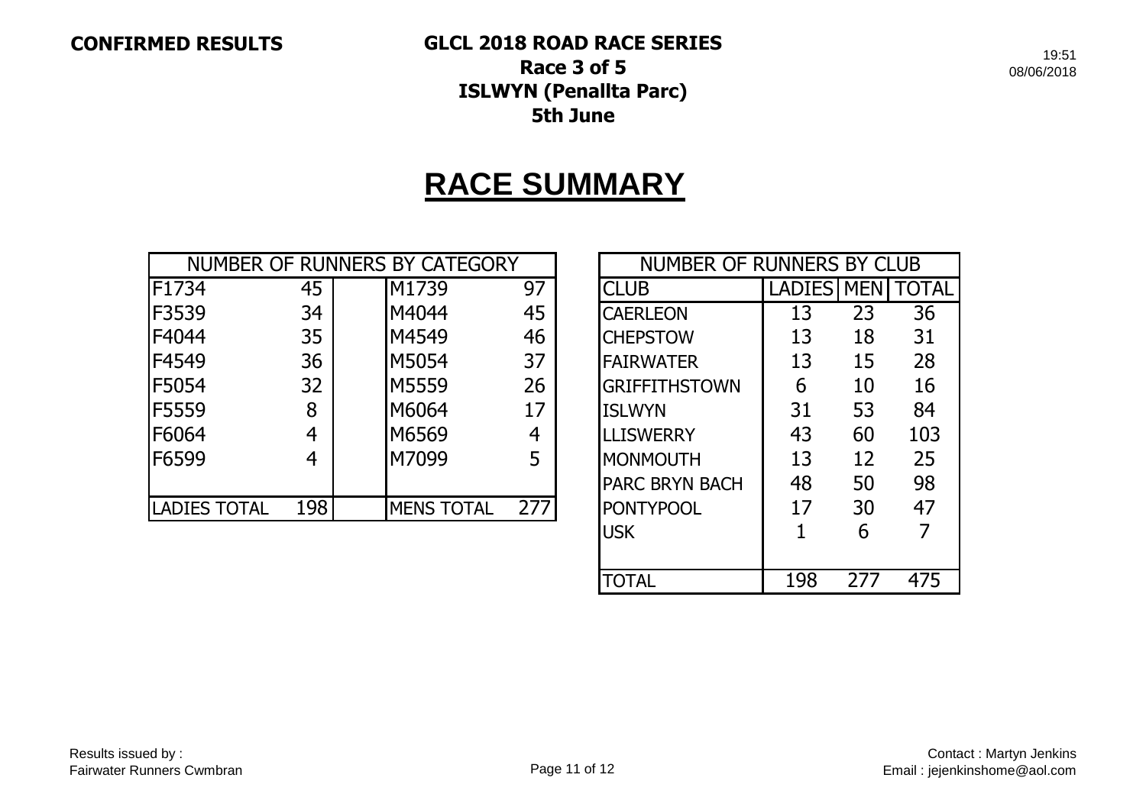**CONFIRMED RESULTS GLCL 2018 ROAD RACE SERIES Race 3 of 5 ISLWYN (Penallta Parc) 5th June**

19:51 08/06/2018

# **RACE SUMMARY**

|                     |     | NUMBER OF RUNNERS BY CATEGORY |     | NUMBER OF RUNNERS BY CLUB |            |    |              |
|---------------------|-----|-------------------------------|-----|---------------------------|------------|----|--------------|
| F1734               | 45  | M1739                         | 97  | <b>CLUB</b>               | LADIES MEN |    | <b>TOTAL</b> |
| F3539               | 34  | M4044                         | 45  | <b>CAERLEON</b>           | 13         | 23 | 36           |
| F4044               | 35  | M4549                         | 46  | <b>CHEPSTOW</b>           | 13         | 18 | 31           |
| F4549               | 36  | M5054                         | 37  | <b>FAIRWATER</b>          | 13         | 15 | 28           |
| <b>F5054</b>        | 32  | M5559                         | 26  | <b>GRIFFITHSTOWN</b>      | 6          | 10 | 16           |
| F5559               | 8   | M6064                         | 17  | <b>ISLWYN</b>             | 31         | 53 | 84           |
| F6064               | 4   | M6569                         | 4   | <b>LLISWERRY</b>          | 43         | 60 | 103          |
| F6599               | 4   | M7099                         | 5   | <b>MONMOUTH</b>           | 13         | 12 | 25           |
|                     |     |                               |     | <b>PARC BRYN BACH</b>     | 48         | 50 | 98           |
| <b>LADIES TOTAL</b> | 198 | <b>MENS TOTAL</b>             | 277 | <b>PONTYPOOL</b>          | 17         | 30 | 47           |

| NUMBER OF RUNNERS BY CLUB                 |    |    |     |  |  |  |  |  |  |  |
|-------------------------------------------|----|----|-----|--|--|--|--|--|--|--|
| <b>LADIES MEN</b><br>TOTAL<br><b>CLUB</b> |    |    |     |  |  |  |  |  |  |  |
| <b>CAERLEON</b>                           | 13 | 23 | 36  |  |  |  |  |  |  |  |
| <b>CHEPSTOW</b>                           | 13 | 18 | 31  |  |  |  |  |  |  |  |
| <b>FAIRWATER</b>                          | 13 | 15 | 28  |  |  |  |  |  |  |  |
| <b>GRIFFITHSTOWN</b>                      | 6  | 10 | 16  |  |  |  |  |  |  |  |
| <b>ISLWYN</b>                             | 31 | 53 | 84  |  |  |  |  |  |  |  |
| <b>LLISWERRY</b>                          | 43 | 60 | 103 |  |  |  |  |  |  |  |
| MONMOUTH                                  | 13 | 12 | 25  |  |  |  |  |  |  |  |
| <b>PARC BRYN BACH</b>                     | 48 | 50 | 98  |  |  |  |  |  |  |  |
| <b>PONTYPOOL</b>                          | 17 | 30 | 47  |  |  |  |  |  |  |  |
| <b>USK</b>                                | 1  | 6  |     |  |  |  |  |  |  |  |
|                                           |    |    |     |  |  |  |  |  |  |  |
| 27<br>198<br>475<br>TOTAL                 |    |    |     |  |  |  |  |  |  |  |